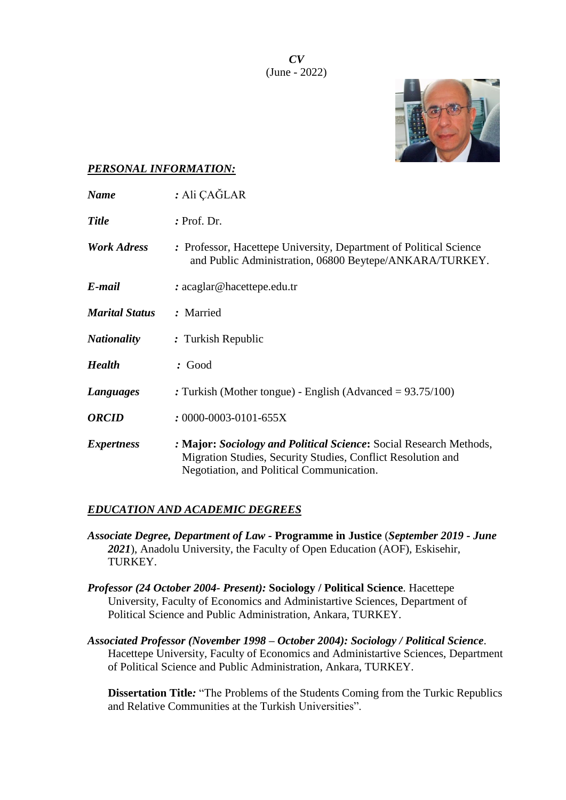*CV* (June - 2022)



### *PERSONAL INFORMATION:*

| <b>Name</b>           | : Ali ÇAĞLAR                                                                                                                                                                    |
|-----------------------|---------------------------------------------------------------------------------------------------------------------------------------------------------------------------------|
| <b>Title</b>          | : Prof. Dr.                                                                                                                                                                     |
| <b>Work Adress</b>    | : Professor, Hacettepe University, Department of Political Science<br>and Public Administration, 06800 Beytepe/ANKARA/TURKEY.                                                   |
| E-mail                | $: \text{acaglar@hacettepe.edu.tr}$                                                                                                                                             |
| <b>Marital Status</b> | : Married                                                                                                                                                                       |
| <b>Nationality</b>    | : Turkish Republic                                                                                                                                                              |
| <b>Health</b>         | : Good                                                                                                                                                                          |
| Languages             | : Turkish (Mother tongue) - English (Advanced = $93.75/100$ )                                                                                                                   |
| <b>ORCID</b>          | $: 0000 - 0003 - 0101 - 655X$                                                                                                                                                   |
| <b>Expertness</b>     | : Major: Sociology and Political Science: Social Research Methods,<br>Migration Studies, Security Studies, Conflict Resolution and<br>Negotiation, and Political Communication. |

#### *EDUCATION AND ACADEMIC DEGREES*

- *Associate Degree, Department of Law -* **Programme in Justice** (*September 2019 - June 2021*), Anadolu University, the Faculty of Open Education (AOF), Eskisehir, TURKEY.
- *Professor (24 October 2004- Present):* **Sociology / Political Science**. Hacettepe University, Faculty of Economics and Administartive Sciences, Department of Political Science and Public Administration, Ankara, TURKEY.
- *Associated Professor (November 1998 – October 2004): Sociology / Political Science*. Hacettepe University, Faculty of Economics and Administartive Sciences, Department of Political Science and Public Administration, Ankara, TURKEY.

**Dissertation Title***:* "The Problems of the Students Coming from the Turkic Republics and Relative Communities at the Turkish Universities".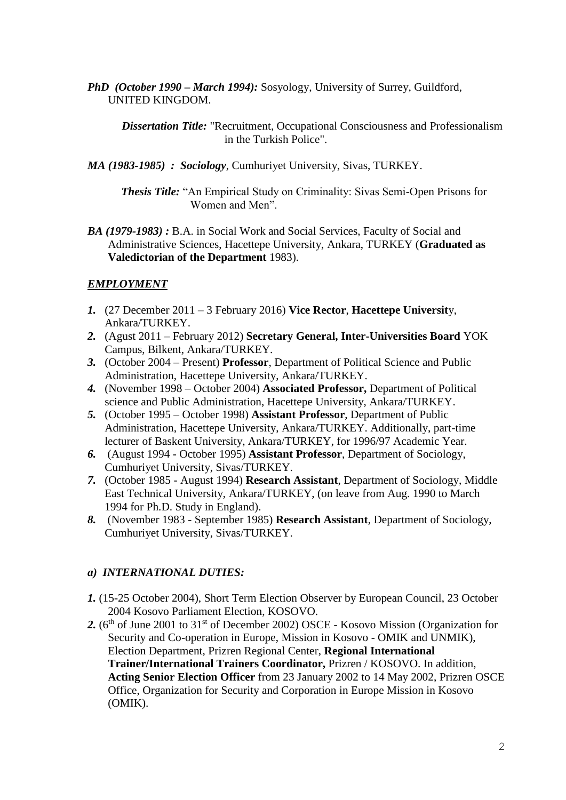*PhD (October 1990 – March 1994):* Sosyology, University of Surrey, Guildford, UNITED KINGDOM.

*Dissertation Title:* "Recruitment, Occupational Consciousness and Professionalism in the Turkish Police".

*MA (1983-1985) : Sociology*, Cumhuriyet University, Sivas, TURKEY.

*Thesis Title:* "An Empirical Study on Criminality: Sivas Semi-Open Prisons for Women and Men".

*BA (1979-1983) :* B.A. in Social Work and Social Services, Faculty of Social and Administrative Sciences, Hacettepe University, Ankara, TURKEY (**Graduated as Valedictorian of the Department** 1983).

### *EMPLOYMENT*

- *1.* (27 December 2011 3 February 2016) **Vice Rector**, **Hacettepe Universit**y, Ankara/TURKEY.
- *2.* (Agust 2011 February 2012) **Secretary General, Inter-Universities Board** YOK Campus, Bilkent, Ankara/TURKEY.
- *3.* (October 2004 Present) **Professor**, Department of Political Science and Public Administration, Hacettepe University, Ankara/TURKEY.
- *4.* (November 1998 *–* October 2004) **Associated Professor,** Department of Political science and Public Administration, Hacettepe University, Ankara/TURKEY.
- *5.* (October 1995 October 1998) **Assistant Professor**, Department of Public Administration, Hacettepe University, Ankara/TURKEY. Additionally, part-time lecturer of Baskent University, Ankara/TURKEY, for 1996/97 Academic Year.
- *6.* (August 1994 October 1995) **Assistant Professor**, Department of Sociology, Cumhuriyet University, Sivas/TURKEY.
- *7.* (October 1985 August 1994) **Research Assistant**, Department of Sociology, Middle East Technical University, Ankara/TURKEY, (on leave from Aug. 1990 to March 1994 for Ph.D. Study in England).
- *8.* (November 1983 September 1985) **Research Assistant**, Department of Sociology, Cumhuriyet University, Sivas/TURKEY.

#### *a) INTERNATIONAL DUTIES:*

- *1.* (15-25 October 2004), Short Term Election Observer by European Council, 23 October 2004 Kosovo Parliament Election, KOSOVO.
- 2. (6<sup>th</sup> of June 2001 to 31<sup>st</sup> of December 2002) OSCE Kosovo Mission (Organization for Security and Co-operation in Europe, Mission in Kosovo - OMIK and UNMIK), Election Department, Prizren Regional Center, **Regional International Trainer/International Trainers Coordinator,** Prizren / KOSOVO. In addition, **Acting Senior Election Officer** from 23 January 2002 to 14 May 2002, Prizren OSCE Office, Organization for Security and Corporation in Europe Mission in Kosovo (OMIK).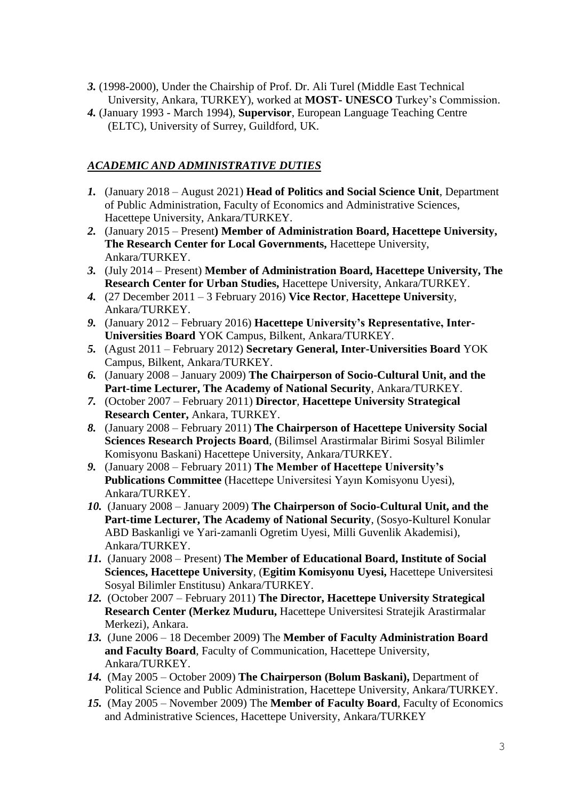- *3.* (1998-2000), Under the Chairship of Prof. Dr. Ali Turel (Middle East Technical University, Ankara, TURKEY), worked at **MOST- UNESCO** Turkey's Commission.
- *4.* (January 1993 March 1994), **Supervisor**, European Language Teaching Centre (ELTC), University of Surrey, Guildford, UK.

# *ACADEMIC AND ADMINISTRATIVE DUTIES*

- *1.* (January 2018 August 2021) **Head of Politics and Social Science Unit**, Department of Public Administration, Faculty of Economics and Administrative Sciences, Hacettepe University, Ankara/TURKEY.
- *2.* (January 2015 Present**) Member of Administration Board, Hacettepe University, The Research Center for Local Governments,** Hacettepe University, Ankara/TURKEY.
- *3.* (July 2014 Present) **Member of Administration Board, Hacettepe University, The Research Center for Urban Studies,** Hacettepe University, Ankara/TURKEY.
- *4.* (27 December 2011 3 February 2016) **Vice Rector**, **Hacettepe Universit**y, Ankara/TURKEY.
- *9.* (January 2012 February 2016) **Hacettepe University's Representative, Inter-Universities Board** YOK Campus, Bilkent, Ankara/TURKEY.
- *5.* (Agust 2011 February 2012) **Secretary General, Inter-Universities Board** YOK Campus, Bilkent, Ankara/TURKEY.
- *6.* (January 2008 January 2009) **The Chairperson of Socio-Cultural Unit, and the Part-time Lecturer, The Academy of National Security**, Ankara/TURKEY.
- *7.* (October 2007 February 2011) **Director**, **Hacettepe University Strategical Research Center,** Ankara, TURKEY.
- *8.* (January 2008 February 2011) **The Chairperson of Hacettepe University Social Sciences Research Projects Board**, (Bilimsel Arastirmalar Birimi Sosyal Bilimler Komisyonu Baskani) Hacettepe University, Ankara/TURKEY.
- *9.* (January 2008 February 2011) **The Member of Hacettepe University's Publications Committee** (Hacettepe Universitesi Yayın Komisyonu Uyesi), Ankara/TURKEY.
- *10.* (January 2008 January 2009) **The Chairperson of Socio-Cultural Unit, and the Part-time Lecturer, The Academy of National Security**, (Sosyo-Kulturel Konular ABD Baskanligi ve Yari-zamanli Ogretim Uyesi, Milli Guvenlik Akademisi), Ankara/TURKEY.
- *11.* (January 2008 Present) **The Member of Educational Board, Institute of Social Sciences, Hacettepe University**, (**Egitim Komisyonu Uyesi,** Hacettepe Universitesi Sosyal Bilimler Enstitusu) Ankara/TURKEY.
- *12.* (October 2007 February 2011) **The Director, Hacettepe University Strategical Research Center (Merkez Muduru,** Hacettepe Universitesi Stratejik Arastirmalar Merkezi), Ankara.
- *13.* (June 2006 18 December 2009) The **Member of Faculty Administration Board and Faculty Board**, Faculty of Communication, Hacettepe University, Ankara/TURKEY.
- *14.* (May 2005 October 2009) **The Chairperson (Bolum Baskani),** Department of Political Science and Public Administration, Hacettepe University, Ankara/TURKEY.
- *15.* (May 2005 November 2009) The **Member of Faculty Board**, Faculty of Economics and Administrative Sciences, Hacettepe University, Ankara/TURKEY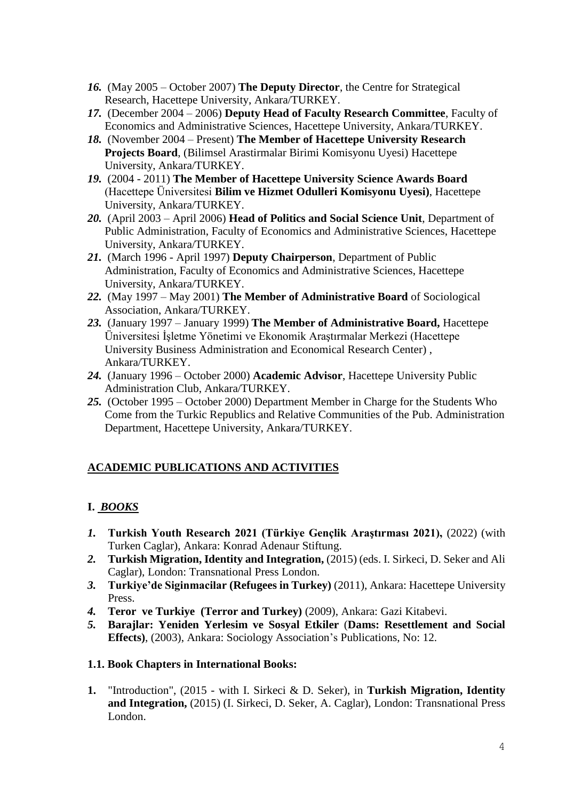- *16.* (May 2005 October 2007) **The Deputy Director**, the Centre for Strategical Research, Hacettepe University, Ankara/TURKEY.
- *17.* (December 2004 2006) **Deputy Head of Faculty Research Committee**, Faculty of Economics and Administrative Sciences, Hacettepe University, Ankara/TURKEY.
- *18.* (November 2004 Present) **The Member of Hacettepe University Research Projects Board**, (Bilimsel Arastirmalar Birimi Komisyonu Uyesi) Hacettepe University, Ankara/TURKEY.
- *19.* (2004 2011) **The Member of Hacettepe University Science Awards Board** (Hacettepe Üniversitesi **Bilim ve Hizmet Odulleri Komisyonu Uyesi)**, Hacettepe University, Ankara/TURKEY.
- *20.* (April 2003 April 2006) **Head of Politics and Social Science Unit**, Department of Public Administration, Faculty of Economics and Administrative Sciences, Hacettepe University, Ankara/TURKEY.
- *21.* (March 1996 April 1997) **Deputy Chairperson**, Department of Public Administration, Faculty of Economics and Administrative Sciences, Hacettepe University, Ankara/TURKEY.
- *22.* (May 1997 May 2001) **The Member of Administrative Board** of Sociological Association, Ankara/TURKEY.
- *23.* (January 1997 January 1999) **The Member of Administrative Board,** Hacettepe Üniversitesi İşletme Yönetimi ve Ekonomik Araştırmalar Merkezi (Hacettepe University Business Administration and Economical Research Center) , Ankara/TURKEY.
- *24.* (January 1996 October 2000) **Academic Advisor**, Hacettepe University Public Administration Club, Ankara/TURKEY.
- *25.* (October 1995 October 2000) Department Member in Charge for the Students Who Come from the Turkic Republics and Relative Communities of the Pub. Administration Department, Hacettepe University, Ankara/TURKEY.

# **ACADEMIC PUBLICATIONS AND ACTIVITIES**

# **I.** *BOOKS*

- *1.* **Turkish Youth Research 2021 (Türkiye Gençlik Araştırması 2021),** (2022) (with Turken Caglar), Ankara: Konrad Adenaur Stiftung.
- *2.* **Turkish Migration, Identity and Integration,** (2015) (eds. I. Sirkeci, D. Seker and Ali Caglar), London: Transnational Press London.
- *3.* **Turkiye'de Siginmacilar (Refugees in Turkey)** (2011), Ankara: Hacettepe University Press.
- *4.* **Teror ve Turkiye (Terror and Turkey)** (2009), Ankara: Gazi Kitabevi.
- *5.* **Barajlar: Yeniden Yerlesim ve Sosyal Etkiler** (**Dams: Resettlement and Social Effects)**, (2003), Ankara: Sociology Association's Publications, No: 12.

## **1.1. Book Chapters in International Books:**

**1.** "Introduction", (2015 - with I. Sirkeci & D. Seker), in **Turkish Migration, Identity and Integration,** (2015) (I. Sirkeci, D. Seker, A. Caglar), London: Transnational Press London.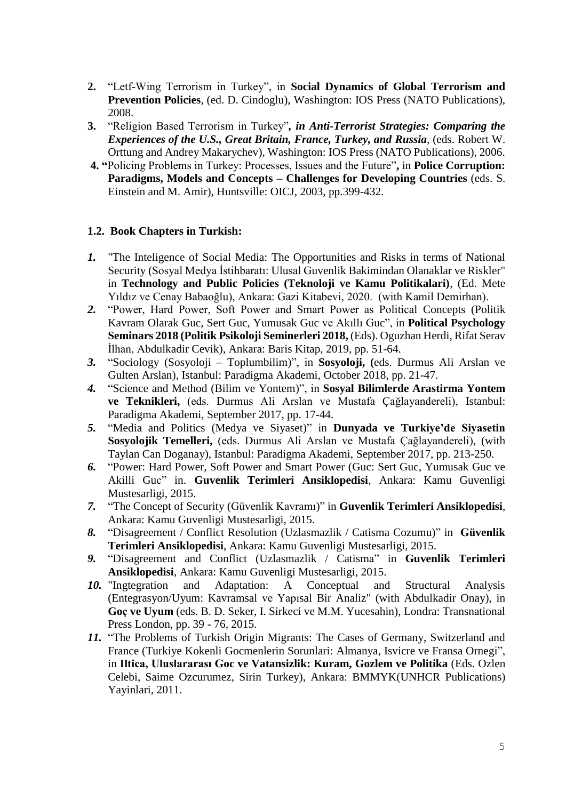- **2.** "Letf-Wing Terrorism in Turkey", in **Social Dynamics of Global Terrorism and Prevention Policies***,* (ed. D. Cindoglu), Washington: IOS Press (NATO Publications), 2008.
- **3.** "Religion Based Terrorism in Turkey"*, in Anti-Terrorist Strategies: Comparing the Experiences of the U.S., Great Britain, France, Turkey, and Russia*, (eds. Robert W. Orttung and Andrey Makarychev), Washington: IOS Press (NATO Publications), 2006.
- **4. "**Policing Problems in Turkey: Processes, Issues and the Future"**,** in **Police Corruption: Paradigms, Models and Concepts – Challenges for Developing Countries** (eds. S. Einstein and M. Amir), Huntsville: OICJ, 2003, pp.399-432.

### **1.2. Book Chapters in Turkish:**

- *1.* "The Inteligence of Social Media: The Opportunities and Risks in terms of National Security (Sosyal Medya İstihbaratı: Ulusal Guvenlik Bakimindan Olanaklar ve Riskler" in **Technology and Public Policies (Teknoloji ve Kamu Politikalari)**, (Ed. Mete Yıldız ve Cenay Babaoğlu), Ankara: Gazi Kitabevi, 2020. (with Kamil Demirhan).
- *2.* "Power, Hard Power, Soft Power and Smart Power as Political Concepts (Politik Kavram Olarak Guc, Sert Guc, Yumusak Guc ve Akıllı Guc", in **Political Psychology Seminars 2018 (Politik Psikoloji Seminerleri 2018,** (Eds). Oguzhan Herdi, Rifat Serav İlhan, Abdulkadir Cevik), Ankara: Baris Kitap, 2019, pp. 51-64.
- *3.* "Sociology (Sosyoloji Toplumbilim)", in **Sosyoloji, (**eds. Durmus Ali Arslan ve Gulten Arslan), Istanbul: Paradigma Akademi, October 2018, pp. 21-47.
- *4.* "Science and Method (Bilim ve Yontem)", in **Sosyal Bilimlerde Arastirma Yontem ve Teknikleri,** (eds. Durmus Ali Arslan ve Mustafa Çağlayandereli), Istanbul: Paradigma Akademi, September 2017, pp. 17-44.
- *5.* "Media and Politics (Medya ve Siyaset)" in **Dunyada ve Turkiye'de Siyasetin Sosyolojik Temelleri,** (eds. Durmus Ali Arslan ve Mustafa Çağlayandereli), (with Taylan Can Doganay), Istanbul: Paradigma Akademi, September 2017, pp. 213-250.
- *6.* "Power: Hard Power, Soft Power and Smart Power (Guc: Sert Guc, Yumusak Guc ve Akilli Guc" in. **Guvenlik Terimleri Ansiklopedisi**, Ankara: Kamu Guvenligi Mustesarligi, 2015.
- *7.* "The Concept of Security (Güvenlik Kavramı)" in **Guvenlik Terimleri Ansiklopedisi**, Ankara: Kamu Guvenligi Mustesarligi, 2015.
- *8.* "Disagreement / Conflict Resolution (Uzlasmazlik / Catisma Cozumu)" in **Güvenlik Terimleri Ansiklopedisi**, Ankara: Kamu Guvenligi Mustesarligi, 2015.
- *9.* "Disagreement and Conflict (Uzlasmazlik / Catisma" in **Guvenlik Terimleri Ansiklopedisi**, Ankara: Kamu Guvenligi Mustesarligi, 2015.
- *10.* "Ingtegration and Adaptation: A Conceptual and Structural Analysis (Entegrasyon/Uyum: Kavramsal ve Yapısal Bir Analiz" (with Abdulkadir Onay), in **Goç ve Uyum** (eds. B. D. Seker, I. Sirkeci ve M.M. Yucesahin), Londra: Transnational Press London, pp. 39 - 76, 2015.
- *11.* "The Problems of Turkish Origin Migrants: The Cases of Germany, Switzerland and France (Turkiye Kokenli Gocmenlerin Sorunlari: Almanya, Isvicre ve Fransa Ornegi", in **Iltica, Uluslararası Goc ve Vatansizlik: Kuram, Gozlem ve Politika** (Eds. Ozlen Celebi, Saime Ozcurumez, Sirin Turkey), Ankara: BMMYK(UNHCR Publications) Yayinlari, 2011.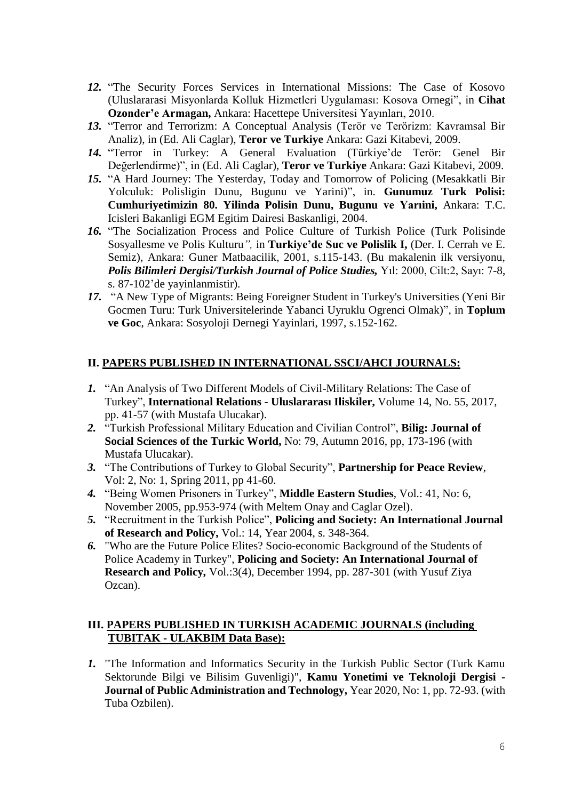- *12.* "The Security Forces Services in International Missions: The Case of Kosovo (Uluslararasi Misyonlarda Kolluk Hizmetleri Uygulaması: Kosova Ornegi", in **Cihat Ozonder'e Armagan,** Ankara: Hacettepe Universitesi Yayınları, 2010.
- *13.* "Terror and Terrorizm: A Conceptual Analysis (Terör ve Terörizm: Kavramsal Bir Analiz), in (Ed. Ali Caglar), **Teror ve Turkiye** Ankara: Gazi Kitabevi, 2009.
- *14.* "Terror in Turkey: A General Evaluation (Türkiye'de Terör: Genel Bir Değerlendirme)", in (Ed. Ali Caglar), **Teror ve Turkiye** Ankara: Gazi Kitabevi, 2009.
- *15.* "A Hard Journey: The Yesterday, Today and Tomorrow of Policing (Mesakkatli Bir Yolculuk: Polisligin Dunu, Bugunu ve Yarini)", in. **Gunumuz Turk Polisi: Cumhuriyetimizin 80. Yilinda Polisin Dunu, Bugunu ve Yarıini,** Ankara: T.C. Icisleri Bakanligi EGM Egitim Dairesi Baskanligi, 2004.
- *16.* "The Socialization Process and Police Culture of Turkish Police (Turk Polisinde Sosyallesme ve Polis Kulturu*",* in **Turkiye'de Suc ve Polislik I,** (Der. I. Cerrah ve E. Semiz), Ankara: Guner Matbaacilik, 2001, s.115-143. (Bu makalenin ilk versiyonu, *Polis Bilimleri Dergisi/Turkish Journal of Police Studies,* Yıl: 2000, Cilt:2, Sayı: 7-8, s. 87-102'de yayinlanmistir).
- *17.* "A New Type of Migrants: Being Foreigner Student in Turkey's Universities (Yeni Bir Gocmen Turu: Turk Universitelerinde Yabanci Uyruklu Ogrenci Olmak)"*,* in **Toplum ve Goc**, Ankara: Sosyoloji Dernegi Yayinlari, 1997, s.152-162.

## **II. PAPERS PUBLISHED IN INTERNATIONAL SSCI/AHCI JOURNALS:**

- *1.* "An Analysis of Two Different Models of Civil-Military Relations: The Case of Turkey", **International Relations - Uluslararası Iliskiler,** Volume 14, No. 55, 2017, pp. 41-57 (with Mustafa Ulucakar).
- *2.* "Turkish Professional Military Education and Civilian Control", **Bilig: Journal of Social Sciences of the Turkic World,** No: 79, Autumn 2016, pp, 173-196 (with Mustafa Ulucakar).
- *3.* "The Contributions of Turkey to Global Security", **Partnership for Peace Review**, Vol: 2, No: 1, Spring 2011, pp 41-60.
- *4.* "Being Women Prisoners in Turkey", **Middle Eastern Studies**, Vol.: 41, No: 6, November 2005, pp.953-974 (with Meltem Onay and Caglar Ozel).
- *5.* "Recruitment in the Turkish Police", **Policing and Society: An International Journal of Research and Policy,** Vol.: 14, Year 2004, s. 348-364.
- *6.* "Who are the Future Police Elites? Socio-economic Background of the Students of Police Academy in Turkey", **Policing and Society: An International Journal of Research and Policy***,* Vol.:3(4), December 1994, pp. 287-301 (with Yusuf Ziya Ozcan).

## **III. PAPERS PUBLISHED IN TURKISH ACADEMIC JOURNALS (including TUBITAK - ULAKBIM Data Base):**

*1.* "The Information and Informatics Security in the Turkish Public Sector (Turk Kamu Sektorunde Bilgi ve Bilisim Guvenligi)", **Kamu Yonetimi ve Teknoloji Dergisi - Journal of Public Administration and Technology,** Year 2020, No: 1, pp. 72-93. (with Tuba Ozbilen).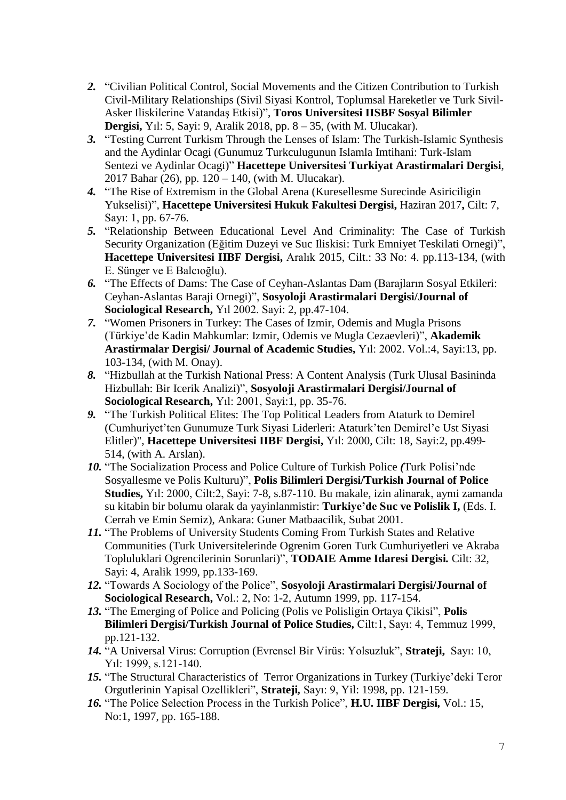- *2.* "Civilian Political Control, Social Movements and the Citizen Contribution to Turkish Civil-Military Relationships (Sivil Siyasi Kontrol, Toplumsal Hareketler ve Turk Sivil-Asker Iliskilerine Vatandaş Etkisi)", **Toros Universitesi IISBF Sosyal Bilimler Dergisi,** Yıl: 5, Sayi: 9, Aralik 2018, pp. 8 – 35, (with M. Ulucakar).
- *3.* "Testing Current Turkism Through the Lenses of Islam: The Turkish-Islamic Synthesis and the Aydinlar Ocagi (Gunumuz Turkculugunun Islamla Imtihani: Turk-Islam Sentezi ve Aydinlar Ocagi)" **Hacettepe Universitesi Turkiyat Arastirmalari Dergisi**, 2017 Bahar (26), pp. 120 – 140, (with M. Ulucakar).
- *4.* "The Rise of Extremism in the Global Arena (Kuresellesme Surecinde Asiriciligin Yukselisi)"*,* **Hacettepe Universitesi Hukuk Fakultesi Dergisi,** Haziran 2017**,** Cilt: 7, Sayı: 1, pp. 67-76.
- *5.* "Relationship Between Educational Level And Criminality: The Case of Turkish Security Organization (Eğitim Duzeyi ve Suc Iliskisi: Turk Emniyet Teskilati Ornegi)", **Hacettepe Universitesi IIBF Dergisi,** Aralık 2015, Cilt.: 33 No: 4. pp.113-134, (with E. Sünger ve E Balcıoğlu).
- *6.* "The Effects of Dams: The Case of Ceyhan-Aslantas Dam (Barajların Sosyal Etkileri: Ceyhan-Aslantas Baraji Ornegi)", **Sosyoloji Arastirmalari Dergisi/Journal of Sociological Research,** Yıl 2002. Sayi: 2, pp.47-104.
- *7.* "Women Prisoners in Turkey: The Cases of Izmir, Odemis and Mugla Prisons (Türkiye'de Kadin Mahkumlar: Izmir, Odemis ve Mugla Cezaevleri)", **Akademik Arastirmalar Dergisi/ Journal of Academic Studies,** Yıl: 2002. Vol.:4, Sayi:13, pp. 103-134, (with M. Onay).
- *8.* "Hizbullah at the Turkish National Press: A Content Analysis (Turk Ulusal Basininda Hizbullah: Bir Icerik Analizi)", **Sosyoloji Arastirmalari Dergisi/Journal of Sociological Research,** Yıl: 2001, Sayi:1, pp. 35-76.
- *9.* "The Turkish Political Elites: The Top Political Leaders from Ataturk to Demirel (Cumhuriyet'ten Gunumuze Turk Siyasi Liderleri: Ataturk'ten Demirel'e Ust Siyasi Elitler)", **Hacettepe Universitesi IIBF Dergisi,** Yıl: 2000, Cilt: 18, Sayi:2, pp.499- 514, (with A. Arslan).
- *10.* "The Socialization Process and Police Culture of Turkish Police *(*Turk Polisi'nde Sosyallesme ve Polis Kulturu)", **Polis Bilimleri Dergisi/Turkish Journal of Police Studies,** Yıl: 2000, Cilt:2, Sayi: 7-8, s.87-110. Bu makale, izin alinarak, aynıi zamanda su kitabin bir bolumu olarak da yayinlanmistir: **Turkiye'de Suc ve Polislik I,** (Eds. I. Cerrah ve Emin Semiz), Ankara: Guner Matbaacilik, Subat 2001.
- *11.* "The Problems of University Students Coming From Turkish States and Relative Communities (Turk Universitelerinde Ogrenim Goren Turk Cumhuriyetleri ve Akraba Topluluklari Ogrencilerinin Sorunlari)", **TODAIE Amme Idaresi Dergisi***.* Cilt: 32, Sayi: 4, Aralik 1999, pp.133-169.
- *12.* "Towards A Sociology of the Police", **Sosyoloji Arastirmalari Dergisi/Journal of Sociological Research,** Vol.: 2, No: 1-2, Autumn 1999, pp. 117-154.
- *13.* "The Emerging of Police and Policing (Polis ve Polisligin Ortaya Çikisi", **Polis Bilimleri Dergisi/Turkish Journal of Police Studies,** Cilt:1, Sayı: 4, Temmuz 1999, pp.121-132.
- *14.* "A Universal Virus: Corruption (Evrensel Bir Virüs: Yolsuzluk", **Strateji,** Sayı: 10, Yıl: 1999, s.121-140.
- *15.* "The Structural Characteristics of Terror Organizations in Turkey (Turkiye'deki Teror Orgutlerinin Yapisal Ozellikleri", **Strateji***,* Sayı: 9, Yil: 1998, pp. 121-159.
- *16.* "The Police Selection Process in the Turkish Police", **H.U. IIBF Dergisi***,* Vol.: 15, No:1, 1997, pp. 165-188.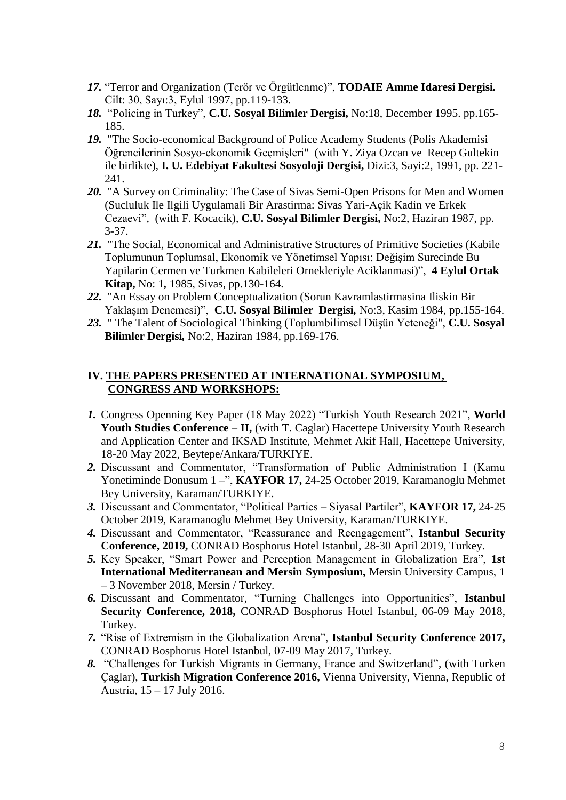- *17.* "Terror and Organization (Terör ve Örgütlenme)", **TODAIE Amme Idaresi Dergisi***.* Cilt: 30, Sayı:3, Eylul 1997, pp.119-133.
- *18.* "Policing in Turkey", **C.U. Sosyal Bilimler Dergisi,** No:18, December 1995. pp.165- 185.
- *19.* "The Socio-economical Background of Police Academy Students (Polis Akademisi Öğrencilerinin Sosyo-ekonomik Geçmişleri" (with Y. Ziya Ozcan ve Recep Gultekin ile birlikte), **I. U. Edebiyat Fakultesi Sosyoloji Dergisi,** Dizi:3, Sayi:2, 1991, pp. 221- 241.
- *20.* "A Survey on Criminality: The Case of Sivas Semi-Open Prisons for Men and Women (Sucluluk Ile Ilgili Uygulamali Bir Arastirma: Sivas Yari-Açik Kadin ve Erkek Cezaevi"*,* (with F. Kocacik), **C.U. Sosyal Bilimler Dergisi,** No:2, Haziran 1987, pp. 3-37.
- *21.* "The Social, Economical and Administrative Structures of Primitive Societies (Kabile Toplumunun Toplumsal, Ekonomik ve Yönetimsel Yapısı; Değişim Surecinde Bu Yapilarin Cermen ve Turkmen Kabileleri Ornekleriyle Aciklanmasi)", **4 Eylul Ortak Kitap,** No: 1*,* 1985, Sivas, pp.130-164.
- *22.* "An Essay on Problem Conceptualization (Sorun Kavramlastirmasina Iliskin Bir Yaklaşım Denemesi)", **C.U. Sosyal Bilimler Dergisi***,* No:3, Kasim 1984, pp.155-164.
- *23.* " The Talent of Sociological Thinking (Toplumbilimsel Düşün Yeteneği", **C.U. Sosyal Bilimler Dergisi***,* No:2, Haziran 1984, pp.169-176.

## **IV. THE PAPERS PRESENTED AT INTERNATIONAL SYMPOSIUM, CONGRESS AND WORKSHOPS:**

- *1.* Congress Openning Key Paper (18 May 2022) "Turkish Youth Research 2021", **World Youth Studies Conference – II,** (with T. Caglar) Hacettepe University Youth Research and Application Center and IKSAD Institute, Mehmet Akif Hall, Hacettepe University, 18-20 May 2022, Beytepe/Ankara/TURKIYE.
- *2.* Discussant and Commentator, "Transformation of Public Administration I (Kamu Yonetiminde Donusum 1 –", **KAYFOR 17,** 24-25 October 2019, Karamanoglu Mehmet Bey University, Karaman/TURKIYE.
- *3.* Discussant and Commentator, "Political Parties Siyasal Partiler", **KAYFOR 17,** 24-25 October 2019, Karamanoglu Mehmet Bey University, Karaman/TURKIYE.
- *4.* Discussant and Commentator, "Reassurance and Reengagement", **Istanbul Security Conference, 2019,** CONRAD Bosphorus Hotel Istanbul, 28-30 April 2019, Turkey.
- *5.* Key Speaker, "Smart Power and Perception Management in Globalization Era", **1st International Mediterranean and Mersin Symposium,** Mersin University Campus, 1 – 3 November 2018, Mersin / Turkey.
- *6.* Discussant and Commentator, "Turning Challenges into Opportunities", **Istanbul Security Conference, 2018,** CONRAD Bosphorus Hotel Istanbul, 06-09 May 2018, Turkey.
- *7.* "Rise of Extremism in the Globalization Arena", **Istanbul Security Conference 2017,**  CONRAD Bosphorus Hotel Istanbul, 07-09 May 2017, Turkey.
- *8.* "Challenges for Turkish Migrants in Germany, France and Switzerland", (with Turken Çaglar), **Turkish Migration Conference 2016,** Vienna University, Vienna, Republic of Austria, 15 – 17 July 2016.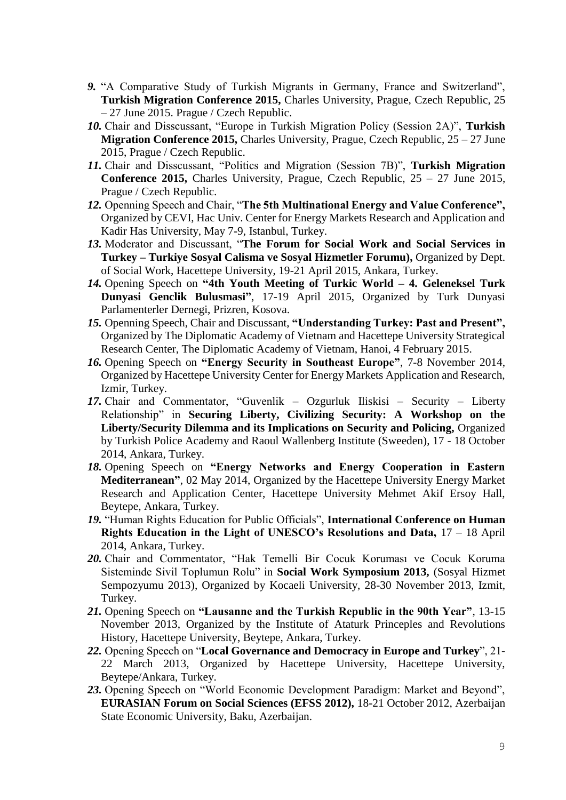- *9.* "A Comparative Study of Turkish Migrants in Germany, France and Switzerland", **Turkish Migration Conference 2015,** Charles University, Prague, Czech Republic, 25 – 27 June 2015. Prague / Czech Republic.
- *10.* Chair and Disscussant, "Europe in Turkish Migration Policy (Session 2A)", **Turkish Migration Conference 2015, Charles University, Prague, Czech Republic, 25 – 27 June** 2015, Prague / Czech Republic.
- *11.* Chair and Disscussant, "Politics and Migration (Session 7B)", **Turkish Migration Conference 2015,** Charles University, Prague, Czech Republic, 25 – 27 June 2015, Prague / Czech Republic.
- *12.* Openning Speech and Chair, "**The 5th Multinational Energy and Value Conference",**  Organized by CEVI, Hac Univ. Center for Energy Markets Research and Application and Kadir Has University, May 7-9, Istanbul, Turkey.
- *13.* Moderator and Discussant, "**The Forum for Social Work and Social Services in Turkey – Turkiye Sosyal Calisma ve Sosyal Hizmetler Forumu),** Organized by Dept. of Social Work, Hacettepe University, 19-21 April 2015, Ankara, Turkey.
- *14.* Opening Speech on **"4th Youth Meeting of Turkic World – 4. Geleneksel Turk Dunyasi Genclik Bulusmasi"**, 17-19 April 2015, Organized by Turk Dunyasi Parlamenterler Dernegi, Prizren, Kosova.
- *15.* Openning Speech, Chair and Discussant, **"Understanding Turkey: Past and Present",**  Organized by The Diplomatic Academy of Vietnam and Hacettepe University Strategical Research Center, The Diplomatic Academy of Vietnam, Hanoi, 4 February 2015.
- *16.* Opening Speech on **"Energy Security in Southeast Europe"**, 7-8 November 2014, Organized by Hacettepe University Center for Energy Markets Application and Research, Izmir, Turkey.
- *17.* Chair and Commentator, "Guvenlik Ozgurluk Iliskisi Security Liberty Relationship" in **Securing Liberty, Civilizing Security: A Workshop on the Liberty/Security Dilemma and its Implications on Security and Policing,** Organized by Turkish Police Academy and Raoul Wallenberg Institute (Sweeden), 17 - 18 October 2014, Ankara, Turkey.
- *18.* Opening Speech on **"Energy Networks and Energy Cooperation in Eastern Mediterranean"**, 02 May 2014, Organized by the Hacettepe University Energy Market Research and Application Center, Hacettepe University Mehmet Akif Ersoy Hall, Beytepe, Ankara, Turkey.
- *19.* "Human Rights Education for Public Officials", **International Conference on Human Rights Education in the Light of UNESCO's Resolutions and Data,** 17 – 18 April 2014, Ankara, Turkey.
- *20.* Chair and Commentator, "Hak Temelli Bir Cocuk Koruması ve Cocuk Koruma Sisteminde Sivil Toplumun Rolu" in **Social Work Symposium 2013,** (Sosyal Hizmet Sempozyumu 2013), Organized by Kocaeli University, 28-30 November 2013, Izmit, Turkey.
- *21.* Opening Speech on **"Lausanne and the Turkish Republic in the 90th Year"**, 13-15 November 2013, Organized by the Institute of Ataturk Princeples and Revolutions History, Hacettepe University, Beytepe, Ankara, Turkey.
- *22.* Opening Speech on "**Local Governance and Democracy in Europe and Turkey**", 21- 22 March 2013, Organized by Hacettepe University, Hacettepe University, Beytepe/Ankara, Turkey.
- *23.* Opening Speech on "World Economic Development Paradigm: Market and Beyond", **EURASIAN Forum on Social Sciences (EFSS 2012),** 18-21 October 2012, Azerbaijan State Economic University, Baku, Azerbaijan.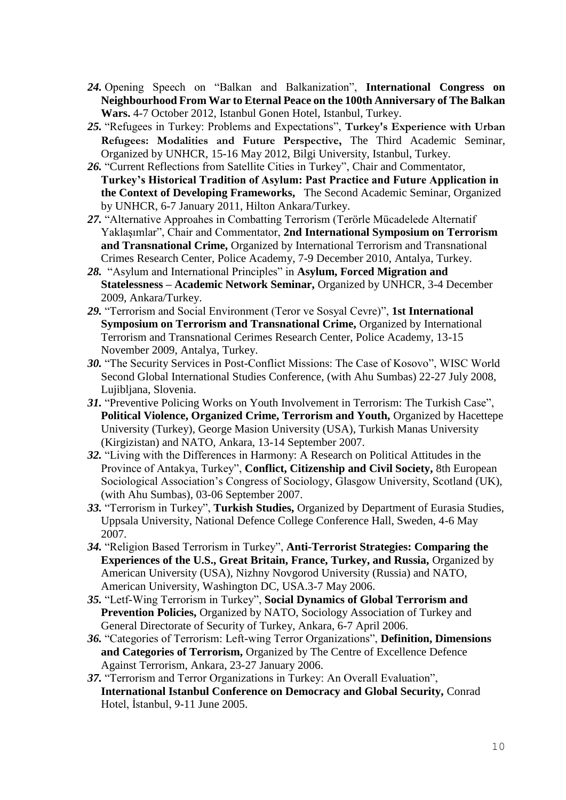- *24.* Opening Speech on "Balkan and Balkanization", **International Congress on Neighbourhood From War to Eternal Peace on the 100th Anniversary of The Balkan Wars.** 4-7 October 2012, Istanbul Gonen Hotel, Istanbul, Turkey.
- *25.* "Refugees in Turkey: Problems and Expectations", **Turkey's Experience with Urban Refugees: Modalities and Future Perspective,** The Third Academic Seminar, Organized by UNHCR, 15-16 May 2012, Bilgi University, Istanbul, Turkey.
- *26.* "Current Reflections from Satellite Cities in Turkey", Chair and Commentator, **Turkey's Historical Tradition of Asylum: Past Practice and Future Application in the Context of Developing Frameworks,** The Second Academic Seminar, Organized by UNHCR, 6-7 January 2011, Hilton Ankara/Turkey.
- *27.* "Alternative Approahes in Combatting Terrorism (Terörle Mücadelede Alternatif Yaklaşımlar", Chair and Commentator, **2nd International Symposium on Terrorism and Transnational Crime,** Organized by International Terrorism and Transnational Crimes Research Center, Police Academy, 7-9 December 2010, Antalya, Turkey.
- *28.* "Asylum and International Principles" in **Asylum, Forced Migration and Statelessness – Academic Network Seminar,** Organized by UNHCR, 3-4 December 2009, Ankara/Turkey.
- *29.* "Terrorism and Social Environment (Teror ve Sosyal Cevre)", **1st International Symposium on Terrorism and Transnational Crime,** Organized by International Terrorism and Transnational Cerimes Research Center, Police Academy, 13-15 November 2009, Antalya, Turkey.
- *30.* "The Security Services in Post-Conflict Missions: The Case of Kosovo", WISC World Second Global International Studies Conference, (with Ahu Sumbas) 22-27 July 2008, Lujibljana, Slovenia.
- *31.* "Preventive Policing Works on Youth Involvement in Terrorism: The Turkish Case", **Political Violence, Organized Crime, Terrorism and Youth,** Organized by Hacettepe University (Turkey), George Masion University (USA), Turkish Manas University (Kirgizistan) and NATO, Ankara, 13-14 September 2007.
- *32.* "Living with the Differences in Harmony: A Research on Political Attitudes in the Province of Antakya, Turkey", **Conflict, Citizenship and Civil Society,** 8th European Sociological Association's Congress of Sociology, Glasgow University, Scotland (UK), (with Ahu Sumbas), 03-06 September 2007.
- *33.* "Terrorism in Turkey", **Turkish Studies,** Organized by Department of Eurasia Studies, Uppsala University, National Defence College Conference Hall, Sweden, 4-6 May 2007.
- *34.* "Religion Based Terrorism in Turkey", **Anti-Terrorist Strategies: Comparing the Experiences of the U.S., Great Britain, France, Turkey, and Russia,** Organized by American University (USA), Nizhny Novgorod University (Russia) and NATO, American University, Washington DC, USA.3-7 May 2006.
- *35.* "Letf-Wing Terrorism in Turkey", **Social Dynamics of Global Terrorism and Prevention Policies,** Organized by NATO, Sociology Association of Turkey and General Directorate of Security of Turkey, Ankara, 6-7 April 2006.
- *36.* "Categories of Terrorism: Left-wing Terror Organizations", **Definition, Dimensions and Categories of Terrorism,** Organized by The Centre of Excellence Defence Against Terrorism, Ankara, 23-27 January 2006.
- *37.* "Terrorism and Terror Organizations in Turkey: An Overall Evaluation", **International Istanbul Conference on Democracy and Global Security,** Conrad Hotel, İstanbul, 9-11 June 2005.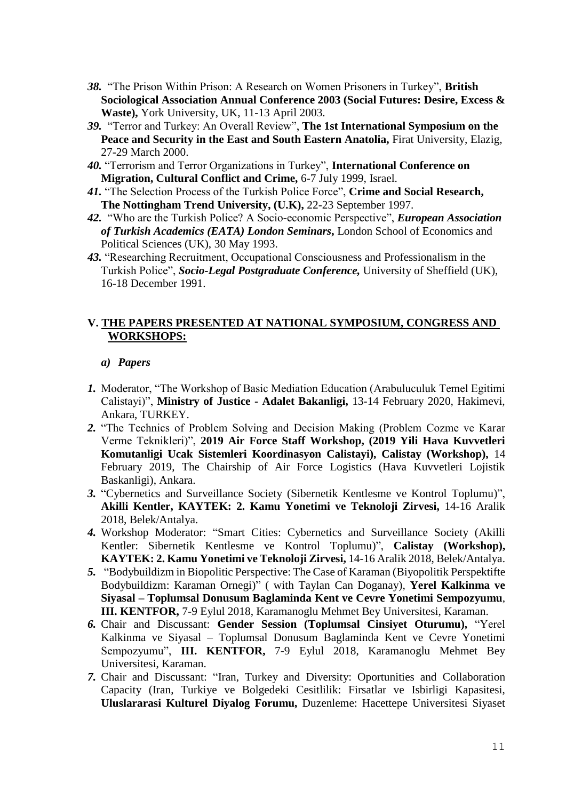- *38.* "The Prison Within Prison: A Research on Women Prisoners in Turkey", **British Sociological Association Annual Conference 2003 (Social Futures: Desire, Excess & Waste),** York University, UK, 11-13 April 2003.
- *39.* "Terror and Turkey: An Overall Review", **The 1st International Symposium on the Peace and Security in the East and South Eastern Anatolia,** Firat University, Elazig, 27-29 March 2000.
- *40.* "Terrorism and Terror Organizations in Turkey", **International Conference on Migration, Cultural Conflict and Crime,** 6-7 July 1999, Israel.
- *41.* "The Selection Process of the Turkish Police Force", **Crime and Social Research, The Nottingham Trend University, (U.K),** 22-23 September 1997.
- *42.* "Who are the Turkish Police? A Socio-economic Perspective", *European Association of Turkish Academics (EATA) London Seminars***,** London School of Economics and Political Sciences (UK), 30 May 1993.
- *43.* "Researching Recruitment, Occupational Consciousness and Professionalism in the Turkish Police", *Socio-Legal Postgraduate Conference,* University of Sheffield (UK), 16-18 December 1991.

## **V. THE PAPERS PRESENTED AT NATIONAL SYMPOSIUM, CONGRESS AND WORKSHOPS:**

### *a) Papers*

- *1.* Moderator, "The Workshop of Basic Mediation Education (Arabuluculuk Temel Egitimi Calistayi)", **Ministry of Justice - Adalet Bakanligi,** 13-14 February 2020, Hakimevi, Ankara, TURKEY.
- *2.* "The Technics of Problem Solving and Decision Making (Problem Cozme ve Karar Verme Teknikleri)", **2019 Air Force Staff Workshop, (2019 Yili Hava Kuvvetleri Komutanligi Ucak Sistemleri Koordinasyon Calistayi), Calistay (Workshop),** 14 February 2019, The Chairship of Air Force Logistics (Hava Kuvvetleri Lojistik Baskanligi), Ankara.
- *3.* "Cybernetics and Surveillance Society (Sibernetik Kentlesme ve Kontrol Toplumu)", **Akilli Kentler, KAYTEK: 2. Kamu Yonetimi ve Teknoloji Zirvesi,** 14-16 Aralik 2018, Belek/Antalya.
- *4.* Workshop Moderator: "Smart Cities: Cybernetics and Surveillance Society (Akilli Kentler: Sibernetik Kentlesme ve Kontrol Toplumu)", **Calistay (Workshop), KAYTEK: 2. Kamu Yonetimi ve Teknoloji Zirvesi,** 14-16 Aralik 2018, Belek/Antalya.
- *5.* "Bodybuildizm in Biopolitic Perspective: The Case of Karaman (Biyopolitik Perspektifte Bodybuildizm: Karaman Ornegi)" ( with Taylan Can Doganay), **Yerel Kalkinma ve Siyasal – Toplumsal Donusum Baglaminda Kent ve Cevre Yonetimi Sempozyumu**, **III. KENTFOR,** 7-9 Eylul 2018, Karamanoglu Mehmet Bey Universitesi, Karaman.
- *6.* Chair and Discussant: **Gender Session (Toplumsal Cinsiyet Oturumu),** "Yerel Kalkinma ve Siyasal – Toplumsal Donusum Baglaminda Kent ve Cevre Yonetimi Sempozyumu", **III. KENTFOR,** 7-9 Eylul 2018, Karamanoglu Mehmet Bey Universitesi, Karaman.
- *7.* Chair and Discussant: "Iran, Turkey and Diversity: Oportunities and Collaboration Capacity (Iran, Turkiye ve Bolgedeki Cesitlilik: Firsatlar ve Isbirligi Kapasitesi, **Uluslararasi Kulturel Diyalog Forumu,** Duzenleme: Hacettepe Universitesi Siyaset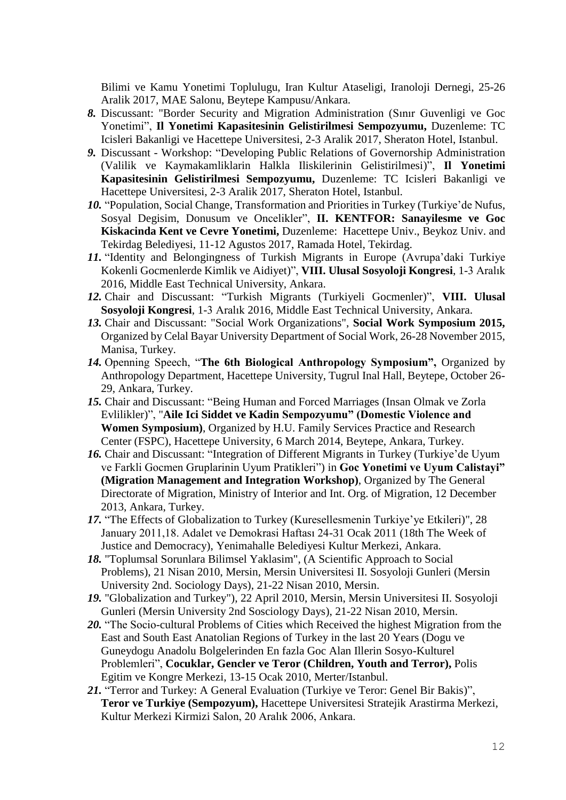Bilimi ve Kamu Yonetimi Toplulugu, Iran Kultur Ataseligi, Iranoloji Dernegi, 25-26 Aralik 2017, MAE Salonu, Beytepe Kampusu/Ankara.

- *8.* Discussant: "Border Security and Migration Administration (Sınır Guvenligi ve Goc Yonetimi", **Il Yonetimi Kapasitesinin Gelistirilmesi Sempozyumu,** Duzenleme: TC Icisleri Bakanligi ve Hacettepe Universitesi, 2-3 Aralik 2017, Sheraton Hotel, Istanbul.
- *9.* Discussant Workshop: "Developing Public Relations of Governorship Administration (Valilik ve Kaymakamliklarin Halkla Iliskilerinin Gelistirilmesi)", **Il Yonetimi Kapasitesinin Gelistirilmesi Sempozyumu,** Duzenleme: TC Icisleri Bakanligi ve Hacettepe Universitesi, 2-3 Aralik 2017, Sheraton Hotel, Istanbul.
- *10.* "Population, Social Change, Transformation and Priorities in Turkey (Turkiye'de Nufus, Sosyal Degisim, Donusum ve Oncelikler", **II. KENTFOR: Sanayilesme ve Goc Kiskacinda Kent ve Cevre Yonetimi,** Duzenleme: Hacettepe Univ., Beykoz Univ. and Tekirdag Belediyesi, 11-12 Agustos 2017, Ramada Hotel, Tekirdag.
- *11.* "Identity and Belongingness of Turkish Migrants in Europe (Avrupa'daki Turkiye Kokenli Gocmenlerde Kimlik ve Aidiyet)", **VIII. Ulusal Sosyoloji Kongresi**, 1-3 Aralık 2016, Middle East Technical University, Ankara.
- *12.* Chair and Discussant: "Turkish Migrants (Turkiyeli Gocmenler)", **VIII. Ulusal Sosyoloji Kongresi**, 1-3 Aralık 2016, Middle East Technical University, Ankara.
- *13.* Chair and Discussant: "Social Work Organizations", **Social Work Symposium 2015,**  Organized by Celal Bayar University Department of Social Work, 26-28 November 2015, Manisa, Turkey.
- *14.* Openning Speech, "**The 6th Biological Anthropology Symposium",** Organized by Anthropology Department, Hacettepe University, Tugrul Inal Hall, Beytepe, October 26- 29, Ankara, Turkey.
- *15.* Chair and Discussant: "Being Human and Forced Marriages (Insan Olmak ve Zorla Evlilikler)", "**Aile Ici Siddet ve Kadin Sempozyumu" (Domestic Violence and Women Symposium)**, Organized by H.U. Family Services Practice and Research Center (FSPC), Hacettepe University, 6 March 2014, Beytepe, Ankara, Turkey.
- *16.* Chair and Discussant: "Integration of Different Migrants in Turkey (Turkiye'de Uyum ve Farkli Gocmen Gruplarinin Uyum Pratikleri") in **Goc Yonetimi ve Uyum Calistayi" (Migration Management and Integration Workshop)**, Organized by The General Directorate of Migration, Ministry of Interior and Int. Org. of Migration, 12 December 2013, Ankara, Turkey.
- 17. "The Effects of Globalization to Turkey (Kuresellesmenin Turkiye've Etkileri)", 28 January 2011,18. Adalet ve Demokrasi Haftası 24-31 Ocak 2011 (18th The Week of Justice and Democracy), Yenimahalle Belediyesi Kultur Merkezi, Ankara.
- *18.* "Toplumsal Sorunlara Bilimsel Yaklasim", (A Scientific Approach to Social Problems), 21 Nisan 2010, Mersin, Mersin Universitesi II. Sosyoloji Gunleri (Mersin University 2nd. Sociology Days), 21-22 Nisan 2010, Mersin.
- *19.* "Globalization and Turkey"), 22 April 2010, Mersin, Mersin Universitesi II. Sosyoloji Gunleri (Mersin University 2nd Sosciology Days), 21-22 Nisan 2010, Mersin.
- 20. **The Socio-cultural Problems of Cities which Received the highest Migration from the** East and South East Anatolian Regions of Turkey in the last 20 Years (Dogu ve Guneydogu Anadolu Bolgelerinden En fazla Goc Alan Illerin Sosyo-Kulturel Problemleri", **Cocuklar, Gencler ve Teror (Children, Youth and Terror),** Polis Egitim ve Kongre Merkezi, 13-15 Ocak 2010, Merter/Istanbul.
- *21.* "Terror and Turkey: A General Evaluation (Turkiye ve Teror: Genel Bir Bakis)", **Teror ve Turkiye (Sempozyum),** Hacettepe Universitesi Stratejik Arastirma Merkezi, Kultur Merkezi Kirmizi Salon, 20 Aralık 2006, Ankara.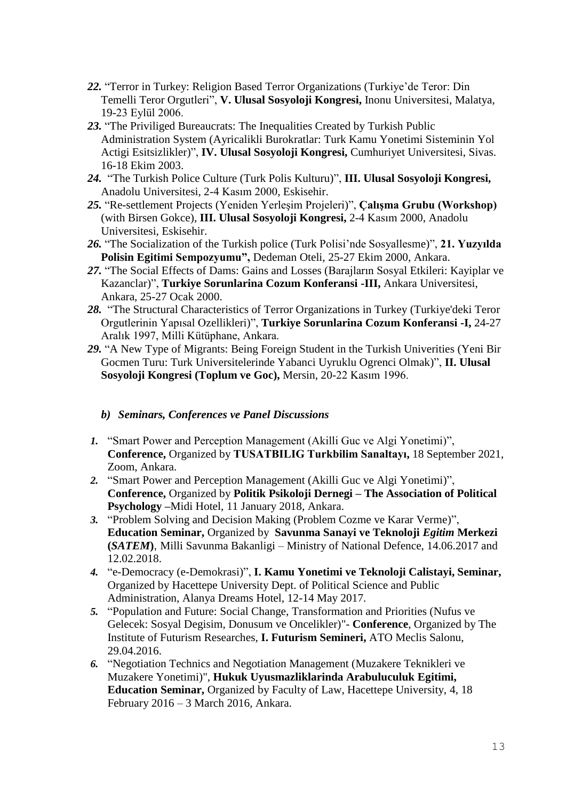- *22.* "Terror in Turkey: Religion Based Terror Organizations (Turkiye'de Teror: Din Temelli Teror Orgutleri", **V. Ulusal Sosyoloji Kongresi,** Inonu Universitesi, Malatya, 19-23 Eylül 2006.
- *23.* "The Priviliged Bureaucrats: The Inequalities Created by Turkish Public Administration System (Ayricalikli Burokratlar: Turk Kamu Yonetimi Sisteminin Yol Actigi Esitsizlikler)", **IV. Ulusal Sosyoloji Kongresi,** Cumhuriyet Universitesi, Sivas. 16-18 Ekim 2003.
- *24.* "The Turkish Police Culture (Turk Polis Kulturu)", **III. Ulusal Sosyoloji Kongresi,** Anadolu Universitesi, 2-4 Kasım 2000, Eskisehir.
- *25.* "Re-settlement Projects (Yeniden Yerleşim Projeleri)", **Çalışma Grubu (Workshop)** (with Birsen Gokce), **III. Ulusal Sosyoloji Kongresi,** 2-4 Kasım 2000, Anadolu Universitesi, Eskisehir.
- *26.* "The Socialization of the Turkish police (Turk Polisi'nde Sosyallesme)", **21. Yuzyılda Polisin Egitimi Sempozyumu",** Dedeman Oteli, 25-27 Ekim 2000, Ankara.
- *27.* "The Social Effects of Dams: Gains and Losses (Barajların Sosyal Etkileri: Kayiplar ve Kazanclar)", **Turkiye Sorunlarina Cozum Konferansi -III,** Ankara Universitesi, Ankara, 25-27 Ocak 2000.
- *28.* "The Structural Characteristics of Terror Organizations in Turkey (Turkiye'deki Teror Orgutlerinin Yapısal Ozellikleri)", **Turkiye Sorunlarina Cozum Konferansi -I,** 24-27 Aralık 1997, Milli Kütüphane, Ankara.
- *29.* "A New Type of Migrants: Being Foreign Student in the Turkish Univerities (Yeni Bir Gocmen Turu: Turk Universitelerinde Yabanci Uyruklu Ogrenci Olmak)", **II. Ulusal Sosyoloji Kongresi (Toplum ve Goc),** Mersin, 20-22 Kasım 1996.

## *b) Seminars, Conferences ve Panel Discussions*

- *1.* "Smart Power and Perception Management (Akilli Guc ve Algi Yonetimi)", **Conference,** Organized by **TUSATBILIG Turkbilim Sanaltayı,** 18 September 2021, Zoom, Ankara.
- *2.* "Smart Power and Perception Management (Akilli Guc ve Algi Yonetimi)", **Conference,** Organized by **Politik Psikoloji Dernegi – The Association of Political Psychology –**Midi Hotel, 11 January 2018, Ankara.
- *3.* "Problem Solving and Decision Making (Problem Cozme ve Karar Verme)", **Education Seminar,** Organized by **Savunma Sanayi ve Teknoloji** *Egitim* **Merkezi (***SATEM***)**, Milli Savunma Bakanligi – Ministry of National Defence, 14.06.2017 and 12.02.2018.
- *4.* "e-Democracy (e-Demokrasi)", **I. Kamu Yonetimi ve Teknoloji Calistayi, Seminar,**  Organized by Hacettepe University Dept. of Political Science and Public Administration, Alanya Dreams Hotel, 12-14 May 2017.
- *5.* "Population and Future: Social Change, Transformation and Priorities (Nufus ve Gelecek: Sosyal Degisim, Donusum ve Oncelikler)"- **Conference**, Organized by The Institute of Futurism Researches, **I. Futurism Semineri,** ATO Meclis Salonu, 29.04.2016.
- *6.* "Negotiation Technics and Negotiation Management (Muzakere Teknikleri ve Muzakere Yonetimi)", **Hukuk Uyusmazliklarinda Arabuluculuk Egitimi, Education Seminar,** Organized by Faculty of Law, Hacettepe University, 4, 18 February 2016 – 3 March 2016, Ankara.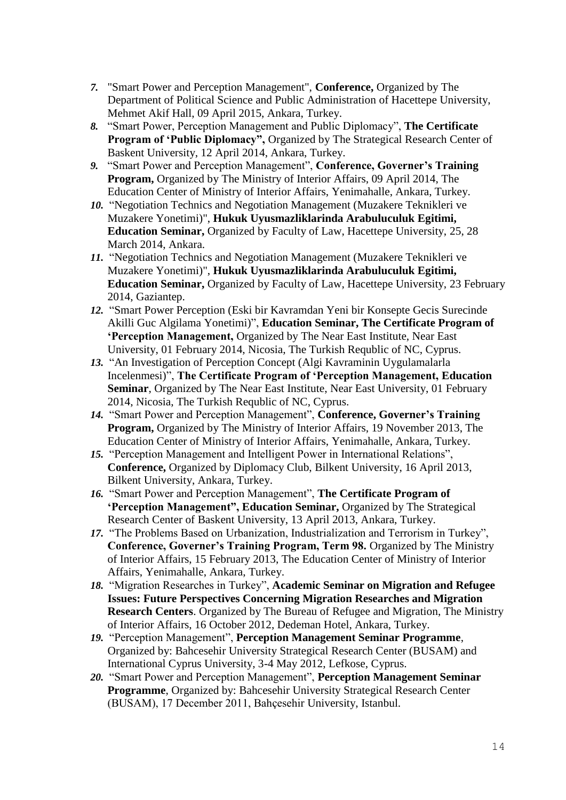- *7.* "Smart Power and Perception Management", **Conference,** Organized by The Department of Political Science and Public Administration of Hacettepe University, Mehmet Akif Hall, 09 April 2015, Ankara, Turkey.
- *8.* "Smart Power, Perception Management and Public Diplomacy", **The Certificate Program of 'Public Diplomacy",** Organized by The Strategical Research Center of Baskent University, 12 April 2014, Ankara, Turkey.
- *9.* "Smart Power and Perception Management", **Conference, Governer's Training Program,** Organized by The Ministry of Interior Affairs, 09 April 2014, The Education Center of Ministry of Interior Affairs, Yenimahalle, Ankara, Turkey.
- *10.* "Negotiation Technics and Negotiation Management (Muzakere Teknikleri ve Muzakere Yonetimi)", **Hukuk Uyusmazliklarinda Arabuluculuk Egitimi, Education Seminar,** Organized by Faculty of Law, Hacettepe University, 25, 28 March 2014, Ankara.
- *11.* "Negotiation Technics and Negotiation Management (Muzakere Teknikleri ve Muzakere Yonetimi)", **Hukuk Uyusmazliklarinda Arabuluculuk Egitimi, Education Seminar,** Organized by Faculty of Law, Hacettepe University, 23 February 2014, Gaziantep.
- *12.* "Smart Power Perception (Eski bir Kavramdan Yeni bir Konsepte Gecis Surecinde Akilli Guc Algilama Yonetimi)", **Education Seminar, The Certificate Program of 'Perception Management,** Organized by The Near East Institute, Near East University, 01 February 2014, Nicosia, The Turkish Requblic of NC, Cyprus.
- *13.* "An Investigation of Perception Concept (Algi Kavraminin Uygulamalarla Incelenmesi)", **The Certificate Program of 'Perception Management, Education Seminar**, Organized by The Near East Institute, Near East University, 01 February 2014, Nicosia, The Turkish Requblic of NC, Cyprus.
- *14.* "Smart Power and Perception Management", **Conference, Governer's Training Program,** Organized by The Ministry of Interior Affairs, 19 November 2013, The Education Center of Ministry of Interior Affairs, Yenimahalle, Ankara, Turkey.
- *15.* "Perception Management and Intelligent Power in International Relations", **Conference,** Organized by Diplomacy Club, Bilkent University, 16 April 2013, Bilkent University, Ankara, Turkey.
- *16.* "Smart Power and Perception Management", **The Certificate Program of 'Perception Management", Education Seminar,** Organized by The Strategical Research Center of Baskent University, 13 April 2013, Ankara, Turkey.
- *17.* "The Problems Based on Urbanization, Industrialization and Terrorism in Turkey", **Conference, Governer's Training Program, Term 98.** Organized by The Ministry of Interior Affairs, 15 February 2013, The Education Center of Ministry of Interior Affairs, Yenimahalle, Ankara, Turkey.
- *18.* "Migration Researches in Turkey", **Academic Seminar on Migration and Refugee Issues: Future Perspectives Concerning Migration Researches and Migration Research Centers**. Organized by The Bureau of Refugee and Migration, The Ministry of Interior Affairs, 16 October 2012, Dedeman Hotel, Ankara, Turkey.
- *19.* "Perception Management", **Perception Management Seminar Programme**, Organized by: Bahcesehir University Strategical Research Center (BUSAM) and International Cyprus University, 3-4 May 2012, Lefkose, Cyprus.
- *20.* "Smart Power and Perception Management", **Perception Management Seminar Programme**, Organized by: Bahcesehir University Strategical Research Center (BUSAM), 17 December 2011, Bahçesehir University, Istanbul.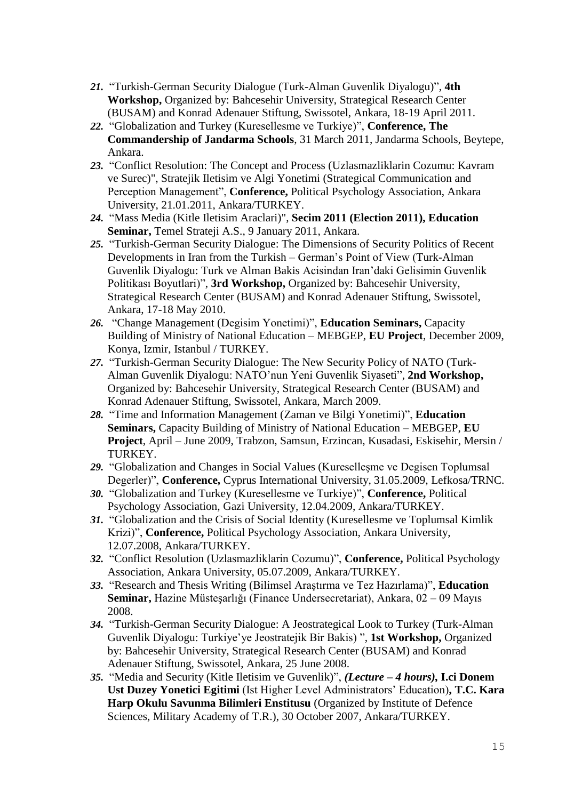- *21.* "Turkish-German Security Dialogue (Turk-Alman Guvenlik Diyalogu)", **4th Workshop,** Organized by: Bahcesehir University, Strategical Research Center (BUSAM) and Konrad Adenauer Stiftung, Swissotel, Ankara, 18-19 April 2011.
- *22.* "Globalization and Turkey (Kuresellesme ve Turkiye)", **Conference, The Commandership of Jandarma Schools**, 31 March 2011, Jandarma Schools, Beytepe, Ankara.
- *23.* "Conflict Resolution: The Concept and Process (Uzlasmazliklarin Cozumu: Kavram ve Surec)", Stratejik Iletisim ve Algi Yonetimi (Strategical Communication and Perception Management", **Conference,** Political Psychology Association, Ankara University, 21.01.2011, Ankara/TURKEY.
- *24.* "Mass Media (Kitle Iletisim Araclari)", **Secim 2011 (Election 2011), Education Seminar,** Temel Strateji A.S., 9 January 2011, Ankara.
- *25.* "Turkish-German Security Dialogue: The Dimensions of Security Politics of Recent Developments in Iran from the Turkish – German's Point of View (Turk-Alman Guvenlik Diyalogu: Turk ve Alman Bakis Acisindan Iran'daki Gelisimin Guvenlik Politikası Boyutlari)", **3rd Workshop,** Organized by: Bahcesehir University, Strategical Research Center (BUSAM) and Konrad Adenauer Stiftung, Swissotel, Ankara, 17-18 May 2010.
- *26.* "Change Management (Degisim Yonetimi)", **Education Seminars,** Capacity Building of Ministry of National Education – MEBGEP, **EU Project**, December 2009, Konya, Izmir, Istanbul / TURKEY.
- *27.* "Turkish-German Security Dialogue: The New Security Policy of NATO (Turk-Alman Guvenlik Diyalogu: NATO'nun Yeni Guvenlik Siyaseti", **2nd Workshop,** Organized by: Bahcesehir University, Strategical Research Center (BUSAM) and Konrad Adenauer Stiftung, Swissotel, Ankara, March 2009.
- *28.* "Time and Information Management (Zaman ve Bilgi Yonetimi)", **Education Seminars,** Capacity Building of Ministry of National Education – MEBGEP, **EU Project**, April – June 2009, Trabzon, Samsun, Erzincan, Kusadasi, Eskisehir, Mersin / TURKEY.
- *29.* "Globalization and Changes in Social Values (Kureselleşme ve Degisen Toplumsal Degerler)", **Conference,** Cyprus International University, 31.05.2009, Lefkosa/TRNC.
- *30.* "Globalization and Turkey (Kuresellesme ve Turkiye)", **Conference,** Political Psychology Association, Gazi University, 12.04.2009, Ankara/TURKEY.
- *31.* "Globalization and the Crisis of Social Identity (Kuresellesme ve Toplumsal Kimlik Krizi)", **Conference,** Political Psychology Association, Ankara University, 12.07.2008, Ankara/TURKEY.
- *32.* "Conflict Resolution (Uzlasmazliklarin Cozumu)", **Conference,** Political Psychology Association, Ankara University, 05.07.2009, Ankara/TURKEY.
- *33.* "Research and Thesis Writing (Bilimsel Araştırma ve Tez Hazırlama)", **Education Seminar,** Hazine Müsteşarlığı (Finance Undersecretariat), Ankara, 02 – 09 Mayıs 2008.
- *34.* "Turkish-German Security Dialogue: A Jeostrategical Look to Turkey (Turk-Alman Guvenlik Diyalogu: Turkiye'ye Jeostratejik Bir Bakis) ", **1st Workshop,** Organized by: Bahcesehir University, Strategical Research Center (BUSAM) and Konrad Adenauer Stiftung, Swissotel, Ankara, 25 June 2008.
- *35.* "Media and Security (Kitle Iletisim ve Guvenlik)", *(Lecture – 4 hours),* **I.ci Donem Ust Duzey Yonetici Egitimi** (Ist Higher Level Administrators' Education)**, T.C. Kara Harp Okulu Savunma Bilimleri Enstitusu** (Organized by Institute of Defence Sciences, Military Academy of T.R.), 30 October 2007, Ankara/TURKEY.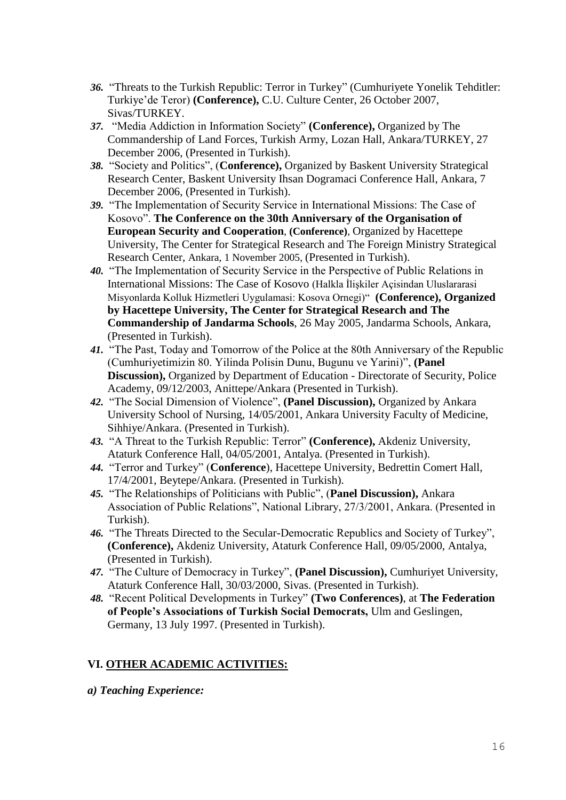- *36.* "Threats to the Turkish Republic: Terror in Turkey" (Cumhuriyete Yonelik Tehditler: Turkiye'de Teror) **(Conference),** C.U. Culture Center, 26 October 2007, Sivas/TURKEY.
- *37.* "Media Addiction in Information Society" **(Conference),** Organized by The Commandership of Land Forces, Turkish Army, Lozan Hall, Ankara/TURKEY, 27 December 2006, (Presented in Turkish).
- *38.* "Society and Politics", (**Conference),** Organized by Baskent University Strategical Research Center, Baskent University Ihsan Dogramaci Conference Hall, Ankara, 7 December 2006, (Presented in Turkish).
- *39.* "The Implementation of Security Service in International Missions: The Case of Kosovo". **The Conference on the 30th Anniversary of the Organisation of European Security and Cooperation**, **(Conference)**, Organized by Hacettepe University, The Center for Strategical Research and The Foreign Ministry Strategical Research Center, Ankara, 1 November 2005, (Presented in Turkish).
- *40.* "The Implementation of Security Service in the Perspective of Public Relations in International Missions: The Case of Kosovo (Halkla İlişkiler Açisindan Uluslararasi Misyonlarda Kolluk Hizmetleri Uygulamasi: Kosova Ornegi)" **(Conference), Organized by Hacettepe University, The Center for Strategical Research and The Commandership of Jandarma Schools**, 26 May 2005, Jandarma Schools, Ankara, (Presented in Turkish).
- *41.* "The Past, Today and Tomorrow of the Police at the 80th Anniversary of the Republic (Cumhuriyetimizin 80. Yilinda Polisin Dunu, Bugunu ve Yarini)", **(Panel Discussion),** Organized by Department of Education - Directorate of Security, Police Academy, 09/12/2003, Anittepe/Ankara (Presented in Turkish).
- *42.* "The Social Dimension of Violence", **(Panel Discussion),** Organized by Ankara University School of Nursing, 14/05/2001, Ankara University Faculty of Medicine, Sihhiye/Ankara. (Presented in Turkish).
- *43.* "A Threat to the Turkish Republic: Terror" **(Conference),** Akdeniz University, Ataturk Conference Hall, 04/05/2001, Antalya. (Presented in Turkish).
- *44.* "Terror and Turkey" (**Conference**), Hacettepe University, Bedrettin Comert Hall, 17/4/2001, Beytepe/Ankara. (Presented in Turkish).
- *45.* "The Relationships of Politicians with Public", (**Panel Discussion),** Ankara Association of Public Relations", National Library, 27/3/2001, Ankara. (Presented in Turkish).
- *46.* "The Threats Directed to the Secular-Democratic Republics and Society of Turkey", **(Conference),** Akdeniz University, Ataturk Conference Hall, 09/05/2000, Antalya, (Presented in Turkish).
- *47.* "The Culture of Democracy in Turkey", **(Panel Discussion),** Cumhuriyet University, Ataturk Conference Hall, 30/03/2000, Sivas. (Presented in Turkish).
- *48.* "Recent Political Developments in Turkey" **(Two Conferences)**, at **The Federation of People's Associations of Turkish Social Democrats,** Ulm and Geslingen, Germany, 13 July 1997. (Presented in Turkish).

# **VI. OTHER ACADEMIC ACTIVITIES:**

*a) Teaching Experience:*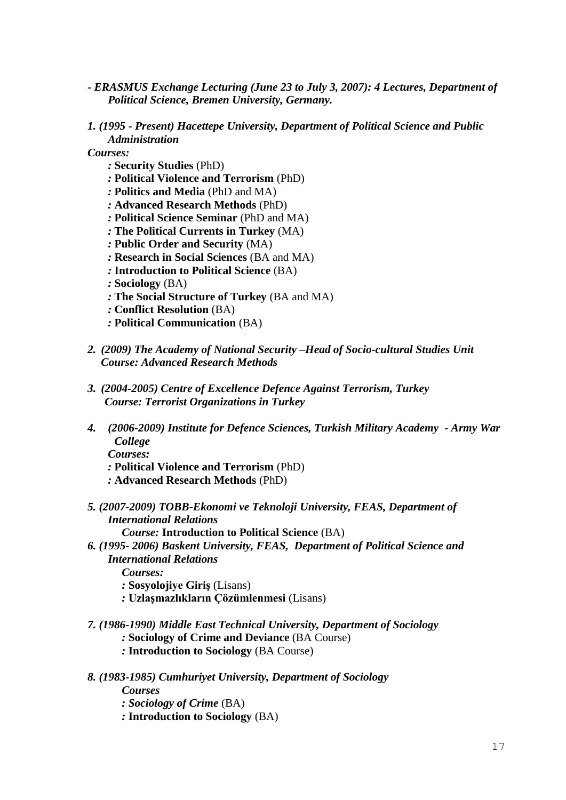- *- ERASMUS Exchange Lecturing (June 23 to July 3, 2007): 4 Lectures, Department of Political Science, Bremen University, Germany.*
- *1. (1995 - Present) Hacettepe University, Department of Political Science and Public Administration*
- *Courses:*
	- *:* **Security Studies** (PhD)
	- *:* **Political Violence and Terrorism** (PhD)
	- *:* **Politics and Media** (PhD and MA)
	- *:* **Advanced Research Methods** (PhD)
	- *:* **Political Science Seminar** (PhD and MA)
	- *:* **The Political Currents in Turkey** (MA)
	- *:* **Public Order and Security** (MA)
	- *:* **Research in Social Sciences** (BA and MA)
	- *:* **Introduction to Political Science** (BA)
	- *:* **Sociology** (BA)
	- *:* **The Social Structure of Turkey** (BA and MA)
	- *:* **Conflict Resolution** (BA)
	- *:* **Political Communication** (BA)
- *2. (2009) The Academy of National Security –Head of Socio-cultural Studies Unit Course: Advanced Research Methods*
- *3. (2004-2005) Centre of Excellence Defence Against Terrorism, Turkey Course: Terrorist Organizations in Turkey*
- *4. (2006-2009) Institute for Defence Sciences, Turkish Military Academy - Army War College*
	- *Courses:*
	- *:* **Political Violence and Terrorism** (PhD)
	- *:* **Advanced Research Methods** (PhD)
- *5. (2007-2009) TOBB-Ekonomi ve Teknoloji University, FEAS, Department of International Relations*
	- *Course:* **Introduction to Political Science** (BA)
- *6. (1995- 2006) Baskent University, FEAS, Department of Political Science and International Relations*
	- *Courses:*
	- *:* **Sosyolojiye Giriş** (Lisans)
	- *:* **Uzlaşmazlıkların Çözümlenmesi** (Lisans)
- *7. (1986-1990) Middle East Technical University, Department of Sociology*
	- *:* **Sociology of Crime and Deviance** (BA Course)
	- *:* **Introduction to Sociology** (BA Course)
- *8. (1983-1985) Cumhuriyet University, Department of Sociology Courses*
	- *: Sociology of Crime* (BA)
	- *:* **Introduction to Sociology** (BA)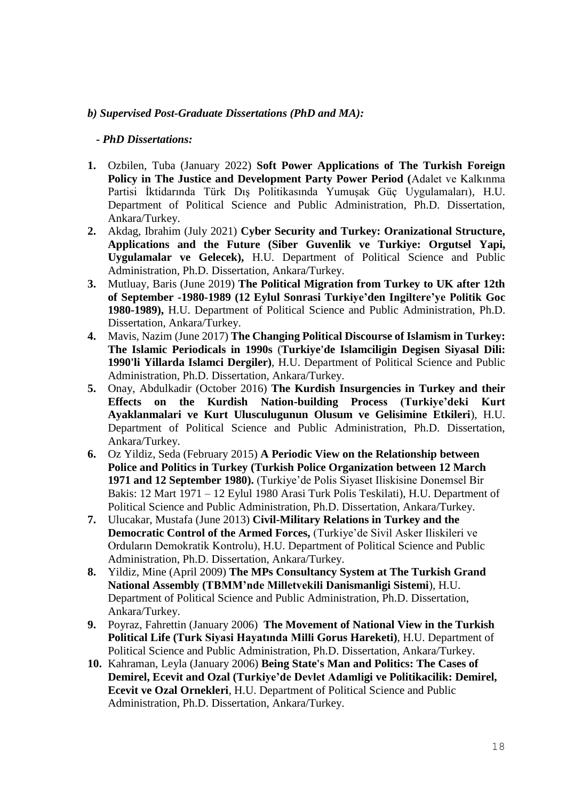### *b) Supervised Post-Graduate Dissertations (PhD and MA):*

#### *- PhD Dissertations:*

- **1.** Ozbilen, Tuba (January 2022) **Soft Power Applications of The Turkish Foreign Policy in The Justice and Development Party Power Period (**Adalet ve Kalkınma Partisi İktidarında Türk Dış Politikasında Yumuşak Güç Uygulamaları), H.U. Department of Political Science and Public Administration, Ph.D. Dissertation, Ankara/Turkey.
- **2.** Akdag, Ibrahim (July 2021) **Cyber Security and Turkey: Oranizational Structure, Applications and the Future (Siber Guvenlik ve Turkiye: Orgutsel Yapi, Uygulamalar ve Gelecek),** H.U. Department of Political Science and Public Administration, Ph.D. Dissertation, Ankara/Turkey.
- **3.** Mutluay, Baris (June 2019) **The Political Migration from Turkey to UK after 12th of September -1980-1989 (12 Eylul Sonrasi Turkiye'den Ingiltere'ye Politik Goc 1980-1989),** H.U. Department of Political Science and Public Administration, Ph.D. Dissertation, Ankara/Turkey.
- **4.** Mavis, Nazim (June 2017) **The Changing Political Discourse of Islamism in Turkey: The Islamic Periodicals in 1990s** (**Turkiye'de Islamciligin Degisen Siyasal Dili: 1990'li Yillarda Islamci Dergiler)**, H.U. Department of Political Science and Public Administration, Ph.D. Dissertation, Ankara/Turkey.
- **5.** Onay, Abdulkadir (October 2016) **The Kurdish Insurgencies in Turkey and their Effects on the Kurdish Nation-building Process (Turkiye'deki Kurt Ayaklanmalari ve Kurt Ulusculugunun Olusum ve Gelisimine Etkileri**), H.U. Department of Political Science and Public Administration, Ph.D. Dissertation, Ankara/Turkey.
- **6.** Oz Yildiz, Seda (February 2015) **A Periodic View on the Relationship between Police and Politics in Turkey (Turkish Police Organization between 12 March 1971 and 12 September 1980).** (Turkiye'de Polis Siyaset Iliskisine Donemsel Bir Bakis: 12 Mart 1971 – 12 Eylul 1980 Arasi Turk Polis Teskilati), H.U. Department of Political Science and Public Administration, Ph.D. Dissertation, Ankara/Turkey.
- **7.** Ulucakar, Mustafa (June 2013) **Civil-Military Relations in Turkey and the Democratic Control of the Armed Forces,** (Turkiye'de Sivil Asker Iliskileri ve Orduların Demokratik Kontrolu), H.U. Department of Political Science and Public Administration, Ph.D. Dissertation, Ankara/Turkey.
- **8.** Yildiz, Mine (April 2009) **The MPs Consultancy System at The Turkish Grand National Assembly (TBMM'nde Milletvekili Danismanligi Sistemi**), H.U. Department of Political Science and Public Administration, Ph.D. Dissertation, Ankara/Turkey.
- **9.** Poyraz, Fahrettin (January 2006) **The Movement of National View in the Turkish Political Life (Turk Siyasi Hayatında Milli Gorus Hareketi)**, H.U. Department of Political Science and Public Administration, Ph.D. Dissertation, Ankara/Turkey.
- **10.** Kahraman, Leyla (January 2006) **Being State's Man and Politics: The Cases of Demirel, Ecevit and Ozal (Turkiye'de Devlet Adamligi ve Politikacilik: Demirel, Ecevit ve Ozal Ornekleri**, H.U. Department of Political Science and Public Administration, Ph.D. Dissertation, Ankara/Turkey.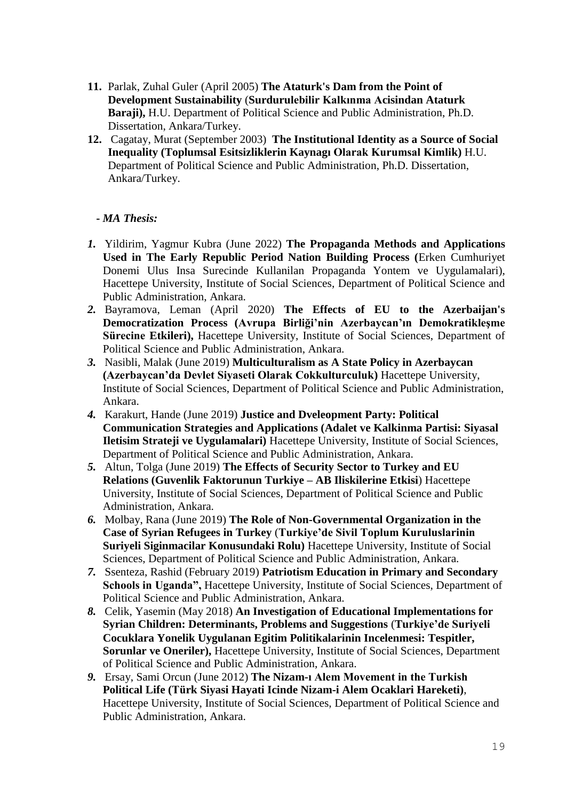- **11.** Parlak, Zuhal Guler (April 2005) **The Ataturk's Dam from the Point of Development Sustainability** (**Surdurulebilir Kalkınma Acisindan Ataturk Baraji),** H.U. Department of Political Science and Public Administration, Ph.D. Dissertation, Ankara/Turkey.
- **12.** Cagatay, Murat (September 2003) **The Institutional Identity as a Source of Social Inequality (Toplumsal Esitsizliklerin Kaynagı Olarak Kurumsal Kimlik)** H.U. Department of Political Science and Public Administration, Ph.D. Dissertation, Ankara/Turkey.

# **-** *MA Thesis:*

- *1.* Yildirim, Yagmur Kubra (June 2022) **The Propaganda Methods and Applications Used in The Early Republic Period Nation Building Process (**Erken Cumhuriyet Donemi Ulus Insa Surecinde Kullanilan Propaganda Yontem ve Uygulamalari), Hacettepe University, Institute of Social Sciences, Department of Political Science and Public Administration, Ankara.
- *2.* Bayramova, Leman (April 2020) **The Effects of EU to the Azerbaijan's Democratization Process (Avrupa Birliği'nin Azerbaycan'ın Demokratikleşme Sürecine Etkileri),** Hacettepe University, Institute of Social Sciences, Department of Political Science and Public Administration, Ankara.
- *3.* Nasibli, Malak (June 2019) **Multiculturalism as A State Policy in Azerbaycan (Azerbaycan'da Devlet Siyaseti Olarak Cokkulturculuk)** Hacettepe University, Institute of Social Sciences, Department of Political Science and Public Administration, Ankara.
- *4.* Karakurt, Hande (June 2019) **Justice and Dveleopment Party: Political Communication Strategies and Applications (Adalet ve Kalkinma Partisi: Siyasal Iletisim Strateji ve Uygulamalari)** Hacettepe University, Institute of Social Sciences, Department of Political Science and Public Administration, Ankara.
- *5.* Altun, Tolga (June 2019) **The Effects of Security Sector to Turkey and EU Relations (Guvenlik Faktorunun Turkiye – AB Iliskilerine Etkisi**) Hacettepe University, Institute of Social Sciences, Department of Political Science and Public Administration, Ankara.
- *6.* Molbay, Rana (June 2019) **The Role of Non-Governmental Organization in the Case of Syrian Refugees in Turkey** (**Turkiye'de Sivil Toplum Kuruluslarinin Suriyeli Siginmacilar Konusundaki Rolu)** Hacettepe University, Institute of Social Sciences, Department of Political Science and Public Administration, Ankara.
- *7.* Ssenteza, Rashid (February 2019) **Patriotism Education in Primary and Secondary Schools in Uganda",** Hacettepe University, Institute of Social Sciences, Department of Political Science and Public Administration, Ankara.
- *8.* Celik, Yasemin (May 2018) **An Investigation of Educational Implementations for Syrian Children: Determinants, Problems and Suggestions** (**Turkiye'de Suriyeli Cocuklara Yonelik Uygulanan Egitim Politikalarinin Incelenmesi: Tespitler, Sorunlar ve Oneriler),** Hacettepe University, Institute of Social Sciences, Department of Political Science and Public Administration, Ankara.
- *9.* Ersay, Sami Orcun (June 2012) **The Nizam-ı Alem Movement in the Turkish Political Life (Türk Siyasi Hayati Icinde Nizam-i Alem Ocaklari Hareketi)**, Hacettepe University, Institute of Social Sciences, Department of Political Science and Public Administration, Ankara.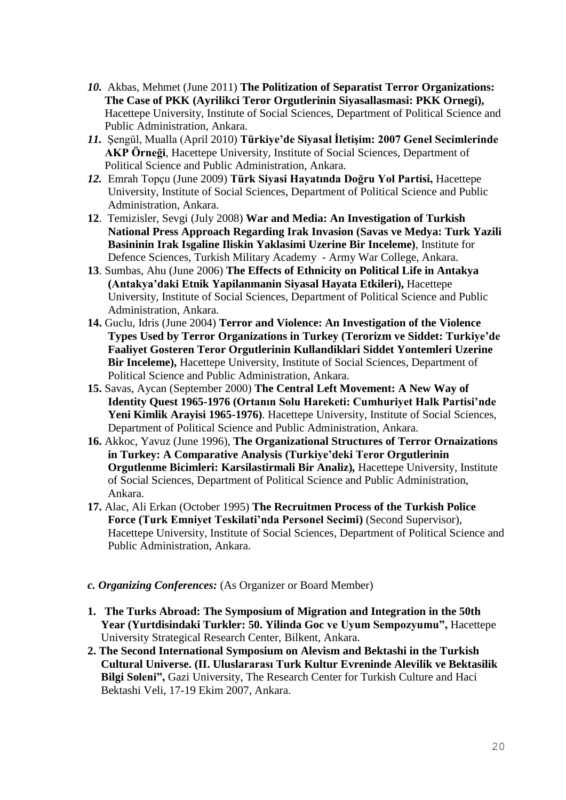- *10.* Akbas, Mehmet (June 2011) **The Politization of Separatist Terror Organizations: The Case of PKK (Ayrilikci Teror Orgutlerinin Siyasallasmasi: PKK Ornegi),** Hacettepe University, Institute of Social Sciences, Department of Political Science and Public Administration, Ankara.
- *11.* Şengül, Mualla (April 2010) **Türkiye'de Siyasal İletişim: 2007 Genel Secimlerinde AKP Örneği**, Hacettepe University, Institute of Social Sciences, Department of Political Science and Public Administration, Ankara.
- *12.* Emrah Topçu (June 2009) **Türk Siyasi Hayatında Doğru Yol Partisi,** Hacettepe University, Institute of Social Sciences, Department of Political Science and Public Administration, Ankara.
- **12**. Temizisler, Sevgi (July 2008) **War and Media: An Investigation of Turkish National Press Approach Regarding Irak Invasion (Savas ve Medya: Turk Yazili Basininin Irak Isgaline Iliskin Yaklasimi Uzerine Bir Inceleme)**, Institute for Defence Sciences, Turkish Military Academy - Army War College, Ankara.
- **13**. Sumbas, Ahu (June 2006) **The Effects of Ethnicity on Political Life in Antakya (Antakya'daki Etnik Yapilanmanin Siyasal Hayata Etkileri),** Hacettepe University, Institute of Social Sciences, Department of Political Science and Public Administration, Ankara.
- **14.** Guclu, Idris (June 2004) **Terror and Violence: An Investigation of the Violence Types Used by Terror Organizations in Turkey (Terorizm ve Siddet: Turkiye'de Faaliyet Gosteren Teror Orgutlerinin Kullandiklari Siddet Yontemleri Uzerine Bir Inceleme),** Hacettepe University, Institute of Social Sciences, Department of Political Science and Public Administration, Ankara.
- **15.** Savas, Aycan (September 2000) **The Central Left Movement: A New Way of Identity Quest 1965-1976 (Ortanın Solu Hareketi: Cumhuriyet Halk Partisi'nde Yeni Kimlik Arayisi 1965-1976)**. Hacettepe University, Institute of Social Sciences, Department of Political Science and Public Administration, Ankara.
- **16.** Akkoc, Yavuz (June 1996), **The Organizational Structures of Terror Ornaizations in Turkey: A Comparative Analysis (Turkiye'deki Teror Orgutlerinin Orgutlenme Bicimleri: Karsilastirmali Bir Analiz)***,* Hacettepe University, Institute of Social Sciences, Department of Political Science and Public Administration, Ankara.
- **17.** Alac, Ali Erkan (October 1995) **The Recruitmen Process of the Turkish Police Force (Turk Emniyet Teskilati'nda Personel Secimi)** (Second Supervisor), Hacettepe University, Institute of Social Sciences, Department of Political Science and Public Administration, Ankara.
- *c. Organizing Conferences:* (As Organizer or Board Member)
- **1. The Turks Abroad: The Symposium of Migration and Integration in the 50th Year (Yurtdisindaki Turkler: 50. Yilinda Goc ve Uyum Sempozyumu",** Hacettepe University Strategical Research Center, Bilkent, Ankara.
- **2. The Second International Symposium on Alevism and Bektashi in the Turkish Cultural Universe. (II. Uluslararası Turk Kultur Evreninde Alevilik ve Bektasilik Bilgi Soleni",** Gazi University, The Research Center for Turkish Culture and Haci Bektashi Veli, 17-19 Ekim 2007, Ankara.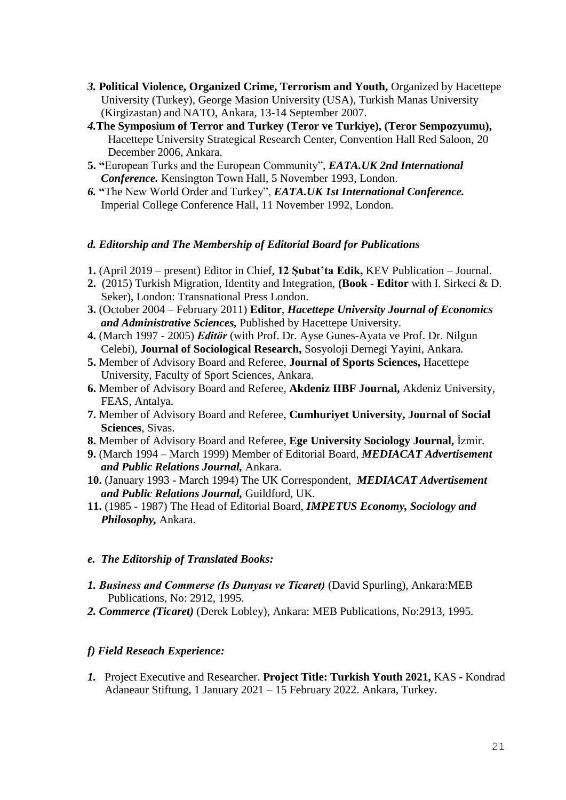- *3.* **Political Violence, Organized Crime, Terrorism and Youth,** Organized by Hacettepe University (Turkey), George Masion University (USA), Turkish Manas University (Kirgizastan) and NATO, Ankara, 13-14 September 2007.
- *4.***The Symposium of Terror and Turkey (Teror ve Turkiye), (Teror Sempozyumu),**  Hacettepe University Strategical Research Center, Convention Hall Red Saloon, 20 December 2006, Ankara.
- **5. "**European Turks and the European Community", *EATA.UK 2nd International Conference.* Kensington Town Hall, 5 November 1993, London.
- *6.* **"**The New World Order and Turkey", *EATA.UK 1st International Conference.*  Imperial College Conference Hall, 11 November 1992, London.

### *d. Editorship and The Membership of Editorial Board for Publications*

- **1.** (April 2019 present) Editor in Chief, **12 Şubat'ta Edik,** KEV Publication Journal.
- **2.** (2015) Turkish Migration, Identity and Integration, **(Book Editor** with I. Sirkeci & D. Seker), London: Transnational Press London.
- **3.** (October 2004 February 2011) **Editor**, *Hacettepe University Journal of Economics and Administrative Sciences,* Published by Hacettepe University.
- **4.** (March 1997 2005) *Editör* (with Prof. Dr. Ayse Gunes-Ayata ve Prof. Dr. Nilgun Celebi), **Journal of Sociological Research,** Sosyoloji Dernegi Yayini, Ankara.
- **5.** Member of Advisory Board and Referee, **Journal of Sports Sciences,** Hacettepe University, Faculty of Sport Sciences, Ankara.
- **6.** Member of Advisory Board and Referee, **Akdeniz IIBF Journal,** Akdeniz University, FEAS, Antalya.
- **7.** Member of Advisory Board and Referee, **Cumhuriyet University, Journal of Social Sciences**, Sivas.
- **8.** Member of Advisory Board and Referee, **Ege University Sociology Journal,** İzmir.
- **9.** (March 1994 March 1999) Member of Editorial Board, *MEDIACAT Advertisement and Public Relations Journal,* Ankara.
- **10.** (January 1993 March 1994) The UK Correspondent, *MEDIACAT Advertisement and Public Relations Journal,* Guildford, UK.
- **11.** (1985 1987) The Head of Editorial Board, *IMPETUS Economy, Sociology and Philosophy,* Ankara.

#### *e. The Editorship of Translated Books:*

- *1. Business and Commerse (Is Dunyası ve Ticaret)* (David Spurling), Ankara:MEB Publications, No: 2912, 1995.
- *2. Commerce (Ticaret)* (Derek Lobley), Ankara: MEB Publications, No:2913, 1995.

## *f) Field Reseach Experience:*

*1.* Project Executive and Researcher. **Project Title: Turkish Youth 2021,** KAS **-** Kondrad Adaneaur Stiftung, 1 January 2021 – 15 February 2022. Ankara, Turkey.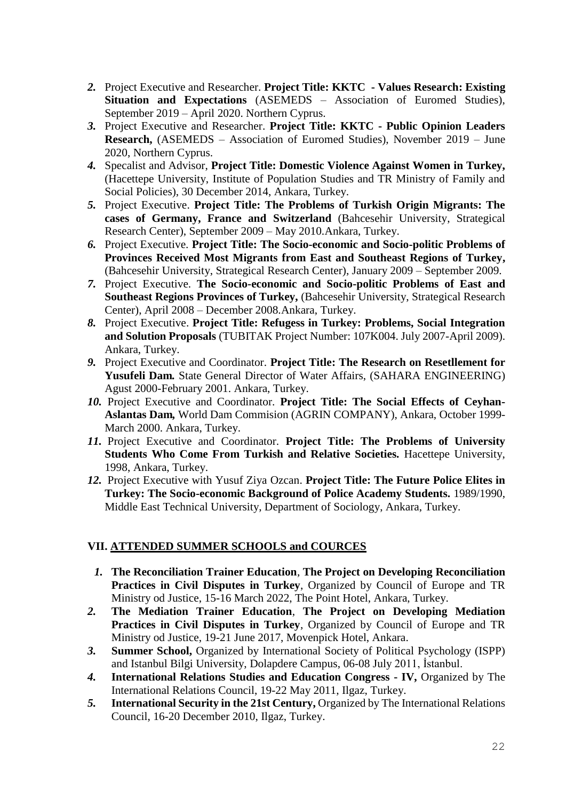- *2.* Project Executive and Researcher. **Project Title: KKTC - Values Research: Existing Situation and Expectations** (ASEMEDS – Association of Euromed Studies), September 2019 – April 2020. Northern Cyprus.
- *3.* Project Executive and Researcher. **Project Title: KKTC - Public Opinion Leaders Research,** (ASEMEDS – Association of Euromed Studies), November 2019 – June 2020, Northern Cyprus.
- *4.* Specalist and Advisor, **Project Title: Domestic Violence Against Women in Turkey,**  (Hacettepe University, Institute of Population Studies and TR Ministry of Family and Social Policies), 30 December 2014, Ankara, Turkey.
- *5.* Project Executive. **Project Title: The Problems of Turkish Origin Migrants: The cases of Germany, France and Switzerland** (Bahcesehir University, Strategical Research Center), September 2009 – May 2010.Ankara, Turkey.
- *6.* Project Executive. **Project Title: The Socio-economic and Socio-politic Problems of Provinces Received Most Migrants from East and Southeast Regions of Turkey,**  (Bahcesehir University, Strategical Research Center), January 2009 – September 2009.
- *7.* Project Executive. **The Socio-economic and Socio-politic Problems of East and Southeast Regions Provinces of Turkey,** (Bahcesehir University, Strategical Research Center), April 2008 – December 2008.Ankara, Turkey.
- *8.* Project Executive. **Project Title: Refugess in Turkey: Problems, Social Integration and Solution Proposals** (TUBITAK Project Number: 107K004. July 2007-April 2009). Ankara, Turkey.
- *9.* Project Executive and Coordinator. **Project Title: The Research on Resetllement for Yusufeli Dam***.* State General Director of Water Affairs, (SAHARA ENGINEERING) Agust 2000-February 2001. Ankara, Turkey.
- *10.* Project Executive and Coordinator. **Project Title: The Social Effects of Ceyhan-Aslantas Dam***,* World Dam Commision (AGRIN COMPANY), Ankara, October 1999- March 2000. Ankara, Turkey.
- *11.* Project Executive and Coordinator. **Project Title: The Problems of University Students Who Come From Turkish and Relative Societies***.* Hacettepe University, 1998, Ankara, Turkey.
- *12.* Project Executive with Yusuf Ziya Ozcan. **Project Title: The Future Police Elites in Turkey: The Socio-economic Background of Police Academy Students.** 1989/1990, Middle East Technical University, Department of Sociology, Ankara, Turkey.

## **VII. ATTENDED SUMMER SCHOOLS and COURCES**

- *1.* **The Reconciliation Trainer Education**, **The Project on Developing Reconciliation Practices in Civil Disputes in Turkey**, Organized by Council of Europe and TR Ministry od Justice, 15-16 March 2022, The Point Hotel, Ankara, Turkey.
- *2.* **The Mediation Trainer Education**, **The Project on Developing Mediation Practices in Civil Disputes in Turkey**, Organized by Council of Europe and TR Ministry od Justice, 19-21 June 2017, Movenpick Hotel, Ankara.
- *3.* **Summer School,** Organized by International Society of Political Psychology (ISPP) and Istanbul Bilgi University, Dolapdere Campus, 06-08 July 2011, İstanbul.
- *4.* **International Relations Studies and Education Congress - IV,** Organized by The International Relations Council, 19-22 May 2011, Ilgaz, Turkey.
- *5.* **International Security in the 21st Century,** Organized by The International Relations Council, 16-20 December 2010, Ilgaz, Turkey.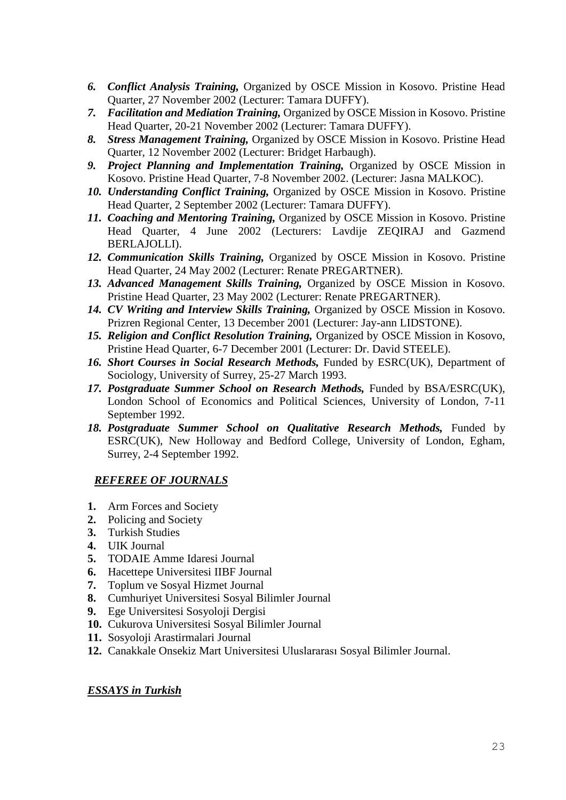- *6. Conflict Analysis Training,* Organized by OSCE Mission in Kosovo. Pristine Head Quarter, 27 November 2002 (Lecturer: Tamara DUFFY).
- *7. Facilitation and Mediation Training,* Organized by OSCE Mission in Kosovo. Pristine Head Quarter, 20-21 November 2002 (Lecturer: Tamara DUFFY).
- *8. Stress Management Training,* Organized by OSCE Mission in Kosovo. Pristine Head Quarter, 12 November 2002 (Lecturer: Bridget Harbaugh).
- *9. Project Planning and Implementation Training,* Organized by OSCE Mission in Kosovo. Pristine Head Quarter, 7-8 November 2002. (Lecturer: Jasna MALKOC).
- *10. Understanding Conflict Training,* Organized by OSCE Mission in Kosovo. Pristine Head Quarter, 2 September 2002 (Lecturer: Tamara DUFFY).
- *11. Coaching and Mentoring Training,* Organized by OSCE Mission in Kosovo. Pristine Head Quarter, 4 June 2002 (Lecturers: Lavdije ZEQIRAJ and Gazmend BERLAJOLLI).
- *12. Communication Skills Training,* Organized by OSCE Mission in Kosovo. Pristine Head Quarter, 24 May 2002 (Lecturer: Renate PREGARTNER).
- *13. Advanced Management Skills Training,* Organized by OSCE Mission in Kosovo. Pristine Head Quarter, 23 May 2002 (Lecturer: Renate PREGARTNER).
- *14. CV Writing and Interview Skills Training,* Organized by OSCE Mission in Kosovo. Prizren Regional Center, 13 December 2001 (Lecturer: Jay-ann LIDSTONE).
- *15. Religion and Conflict Resolution Training,* Organized by OSCE Mission in Kosovo, Pristine Head Quarter, 6-7 December 2001 (Lecturer: Dr. David STEELE).
- *16. Short Courses in Social Research Methods,* Funded by ESRC(UK), Department of Sociology, University of Surrey, 25-27 March 1993.
- *17. Postgraduate Summer School on Research Methods,* Funded by BSA/ESRC(UK), London School of Economics and Political Sciences, University of London, 7-11 September 1992.
- *18. Postgraduate Summer School on Qualitative Research Methods,* Funded by ESRC(UK), New Holloway and Bedford College, University of London, Egham, Surrey, 2-4 September 1992.

## *REFEREE OF JOURNALS*

- **1.** Arm Forces and Society
- **2.** Policing and Society
- **3.** Turkish Studies
- **4.** UIK Journal
- **5.** TODAIE Amme Idaresi Journal
- **6.** Hacettepe Universitesi IIBF Journal
- **7.** Toplum ve Sosyal Hizmet Journal
- **8.** Cumhuriyet Universitesi Sosyal Bilimler Journal
- **9.** Ege Universitesi Sosyoloji Dergisi
- **10.** Cukurova Universitesi Sosyal Bilimler Journal
- **11.** Sosyoloji Arastirmalari Journal
- **12.** Canakkale Onsekiz Mart Universitesi Uluslararası Sosyal Bilimler Journal.

#### *ESSAYS in Turkish*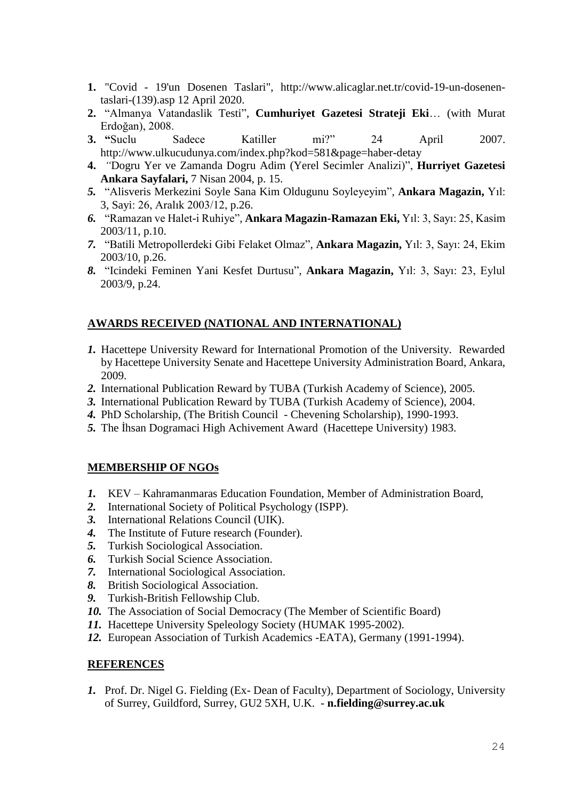- **1.** "Covid 19'un Dosenen Taslari", http://www.alicaglar.net.tr/covid-19-un-dosenentaslari-(139).asp 12 April 2020.
- **2.** "Almanya Vatandaslik Testi", **Cumhuriyet Gazetesi Strateji Eki**… (with Murat Erdoğan), 2008.
- **3. "**Suclu Sadece Katiller mi?" 24 April 2007. http://www.ulkucudunya.com/index.php?kod=581&page=haber-detay
- **4.** *"*Dogru Yer ve Zamanda Dogru Adim (Yerel Secimler Analizi)", **Hurriyet Gazetesi Ankara Sayfalari,** 7 Nisan 2004, p. 15.
- *5.* "Alisveris Merkezini Soyle Sana Kim Oldugunu Soyleyeyim"*,* **Ankara Magazin,** Yıl: 3, Sayi: 26, Aralık 2003/12, p.26.
- *6.* "Ramazan ve Halet-i Ruhiye"*,* **Ankara Magazin-Ramazan Eki,** Yıl: 3, Sayı: 25, Kasim 2003/11, p.10.
- *7.* "Batili Metropollerdeki Gibi Felaket Olmaz"*,* **Ankara Magazin,** Yıl: 3, Sayı: 24, Ekim 2003/10, p.26.
- *8.* "Icindeki Feminen Yani Kesfet Durtusu"*,* **Ankara Magazin,** Yıl: 3, Sayı: 23, Eylul 2003/9, p.24.

# **AWARDS RECEIVED (NATIONAL AND INTERNATIONAL)**

- *1.* Hacettepe University Reward for International Promotion of the University. Rewarded by Hacettepe University Senate and Hacettepe University Administration Board, Ankara, 2009.
- *2.* International Publication Reward by TUBA (Turkish Academy of Science), 2005.
- *3.* International Publication Reward by TUBA (Turkish Academy of Science), 2004.
- *4.* PhD Scholarship, (The British Council Chevening Scholarship), 1990-1993.
- *5.* The İhsan Dogramaci High Achivement Award (Hacettepe University) 1983.

## **MEMBERSHIP OF NGOs**

- *1.* KEV Kahramanmaras Education Foundation, Member of Administration Board,
- *2.* International Society of Political Psychology (ISPP).
- *3.* International Relations Council (UIK).
- *4.* The Institute of Future research (Founder).
- *5.* Turkish Sociological Association.
- *6.* Turkish Social Science Association.
- *7.* International Sociological Association.
- *8.* British Sociological Association.
- *9.* Turkish-British Fellowship Club.
- *10.* The Association of Social Democracy (The Member of Scientific Board)
- *11.* Hacettepe University Speleology Society (HUMAK 1995-2002).
- *12.* European Association of Turkish Academics -EATA), Germany (1991-1994).

#### **REFERENCES**

*1.* Prof. Dr. Nigel G. Fielding (Ex- Dean of Faculty), Department of Sociology, University of Surrey, Guildford, Surrey, GU2 5XH, U.K. - **n.fielding@surrey.ac.uk**